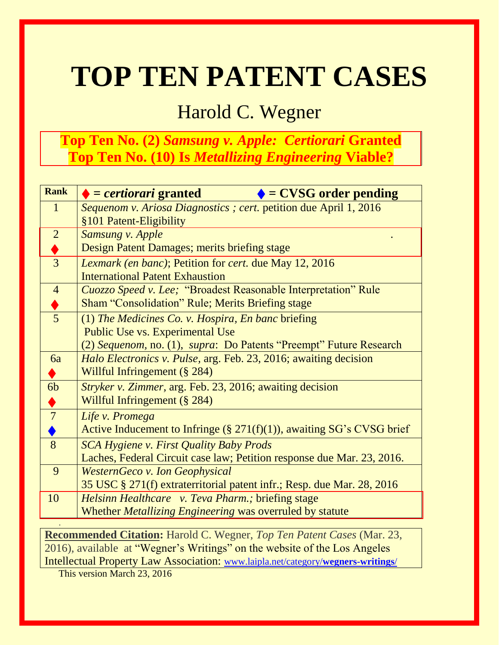# **TOP TEN PATENT CASES**

# Harold C. Wegner

# **Top Ten No. (2)** *Samsung v. Apple: Certiorari* **Granted Top Ten No. (10) Is** *Metallizing Engineering* **Viable?**

| <b>Rank</b>               | $\bullet$ = certiorari granted<br>$\blacklozenge$ = CVSG order pending    |
|---------------------------|---------------------------------------------------------------------------|
| $\mathbf{1}$              | Sequenom v. Ariosa Diagnostics ; cert. petition due April 1, 2016         |
|                           | §101 Patent-Eligibility                                                   |
| $\overline{2}$            | Samsung v. Apple                                                          |
| $\frac{\blacklozenge}{3}$ | Design Patent Damages; merits briefing stage                              |
|                           | <i>Lexmark (en banc)</i> ; Petition for <i>cert</i> . due May 12, 2016    |
|                           | <b>International Patent Exhaustion</b>                                    |
| $\overline{4}$            | <b>Cuozzo Speed v. Lee; "Broadest Reasonable Interpretation" Rule</b>     |
| $\frac{1}{5}$             | <b>Sham "Consolidation" Rule; Merits Briefing stage</b>                   |
|                           | (1) The Medicines Co. v. Hospira, En banc briefing                        |
|                           | Public Use vs. Experimental Use                                           |
|                           | (2) Sequenom, no. (1), supra: Do Patents "Preempt" Future Research        |
| 6a                        | <i>Halo Electronics v. Pulse, arg. Feb. 23, 2016; awaiting decision</i>   |
| $\bullet$                 | Willful Infringement (§ 284)                                              |
| 6 <sub>b</sub>            | <i>Stryker v. Zimmer, arg. Feb. 23, 2016; awaiting decision</i>           |
| ♦                         | Willful Infringement (§ 284)                                              |
| $\overline{7}$            | Life v. Promega                                                           |
|                           | Active Inducement to Infringe $(\S 271(f)(1))$ , awaiting SG's CVSG brief |
| 8                         | <b>SCA Hygiene v. First Quality Baby Prods</b>                            |
|                           | Laches, Federal Circuit case law; Petition response due Mar. 23, 2016.    |
| 9                         | <b>WesternGeco v. Ion Geophysical</b>                                     |
|                           | 35 USC § 271(f) extraterritorial patent infr.; Resp. due Mar. 28, 2016    |
| 10                        | Helsinn Healthcare v. Teva Pharm.; briefing stage                         |
|                           | Whether Metallizing Engineering was overruled by statute                  |
|                           |                                                                           |

**Recommended Citation:** Harold C. Wegner, *Top Ten Patent Cases* (Mar. 23, 2016)*,* available at "Wegner's Writings" on the website of the Los Angeles Intellectual Property Law Association: [www.laipla.net/category/](http://www.laipla.net/category/wegners-writings/)**wegners-writings**/

This version March 23, 2016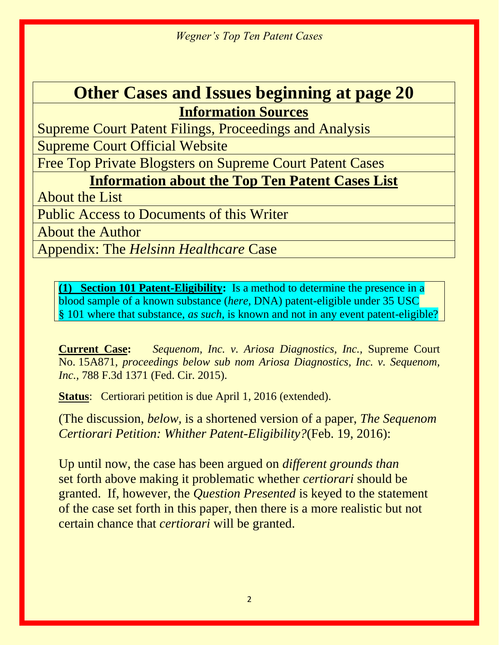# **Other Cases and Issues beginning at page 20 Information Sources**

Supreme Court Patent Filings, Proceedings and Analysis

Supreme Court Official Website

Free Top Private Blogsters on Supreme Court Patent Cases

**Information about the Top Ten Patent Cases List**

About the List

Public Access to Documents of this Writer

About the Author

Appendix: The *Helsinn Healthcare* Case

**(1) Section 101 Patent-Eligibility:** Is a method to determine the presence in a blood sample of a known substance (*here,* DNA) patent-eligible under 35 USC § 101 where that substance, *as such,* is known and not in any event patent-eligible?

**Current Case:** *Sequenom, Inc. v. Ariosa Diagnostics, Inc.,* Supreme Court No. 15A871, *proceedings below sub nom Ariosa Diagnostics, Inc. v. Sequenom, Inc.,* 788 F.3d 1371 (Fed. Cir. 2015).

**Status**: Certiorari petition is due April 1, 2016 (extended).

(The discussion, *below,* is a shortened version of a paper, *The Sequenom Certiorari Petition: Whither Patent-Eligibility?*(Feb. 19, 2016):

Up until now, the case has been argued on *different grounds than*  set forth above making it problematic whether *certiorari* should be granted. If, however, the *Question Presented* is keyed to the statement of the case set forth in this paper, then there is a more realistic but not certain chance that *certiorari* will be granted.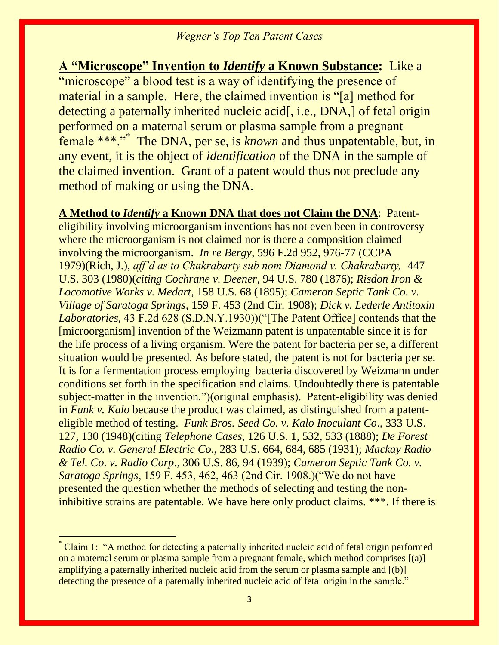**A "Microscope" Invention to** *Identify* **a Known Substance:** Like a "microscope" a blood test is a way of identifying the presence of material in a sample. Here, the claimed invention is "[a] method for detecting a paternally inherited nucleic acid[, i.e., DNA,] of fetal origin performed on a maternal serum or plasma sample from a pregnant female \*\*\*."<sup>\*</sup> The DNA, per se, is *known* and thus unpatentable, but, in any event, it is the object of *identification* of the DNA in the sample of the claimed invention. Grant of a patent would thus not preclude any method of making or using the DNA.

**A Method to** *Identify* **a Known DNA that does not Claim the DNA**: Patent-

eligibility involving microorganism inventions has not even been in controversy where the microorganism is not claimed nor is there a composition claimed involving the microorganism. *In re Bergy,* 596 F.2d 952, 976-77 (CCPA 1979)(Rich, J.), *aff'd as to Chakrabarty sub nom Diamond v. Chakrabarty,* 447 U.S. 303 (1980)(*citing Cochrane v. Deener*, 94 U.S. 780 (1876); *Risdon Iron & Locomotive Works v. Medart*, 158 U.S. 68 (1895); *Cameron Septic Tank Co. v. Village of Saratoga Springs*, 159 F. 453 (2nd Cir. 1908); *Dick v. Lederle Antitoxin Laboratories,* 43 F.2d 628 (S.D.N.Y.1930))("[The Patent Office] contends that the [microorganism] invention of the Weizmann patent is unpatentable since it is for the life process of a living organism. Were the patent for bacteria per se, a different situation would be presented. As before stated, the patent is not for bacteria per se. It is for a fermentation process employing bacteria discovered by Weizmann under conditions set forth in the specification and claims. Undoubtedly there is patentable subject-matter in the invention.")(original emphasis). Patent-eligibility was denied in *Funk v. Kalo* because the product was claimed, as distinguished from a patenteligible method of testing. *Funk Bros. Seed Co. v. Kalo Inoculant Co*., 333 U.S. 127, 130 (1948)(citing *Telephone Cases*, 126 U.S. 1, 532, 533 (1888); *De Forest Radio Co. v. General Electric Co*., 283 U.S. 664, 684, 685 (1931); *Mackay Radio & Tel. Co. v. Radio Corp*., 306 U.S. 86, 94 (1939); *Cameron Septic Tank Co. v. Saratoga Springs*, 159 F. 453, 462, 463 (2nd Cir. 1908.)("We do not have presented the question whether the methods of selecting and testing the noninhibitive strains are patentable. We have here only product claims. \*\*\*. If there is

 $\overline{a}$ 

Claim 1: "A method for detecting a paternally inherited nucleic acid of fetal origin performed on a maternal serum or plasma sample from a pregnant female, which method comprises [(a)] amplifying a paternally inherited nucleic acid from the serum or plasma sample and [(b)] detecting the presence of a paternally inherited nucleic acid of fetal origin in the sample."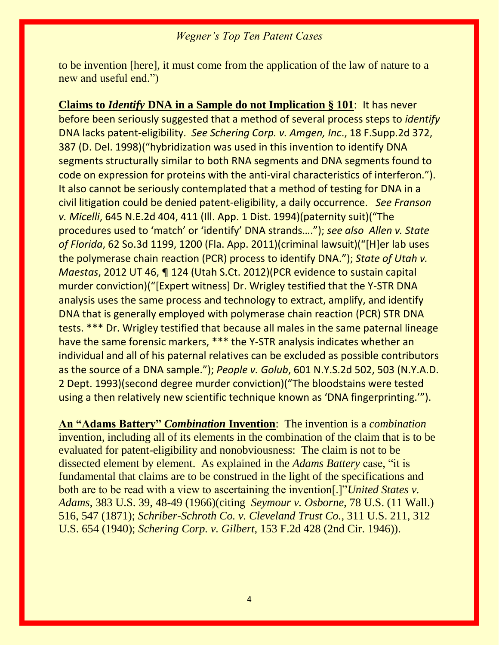to be invention [here], it must come from the application of the law of nature to a new and useful end.")

**Claims to** *Identify* **DNA in a Sample do not Implication § 101**: It has never before been seriously suggested that a method of several process steps to *identify*  DNA lacks patent-eligibility. *See Schering Corp. v. Amgen, Inc*., 18 F.Supp.2d 372, 387 (D. Del. 1998)("hybridization was used in this invention to identify DNA segments structurally similar to both RNA segments and DNA segments found to code on expression for proteins with the anti-viral characteristics of interferon."). It also cannot be seriously contemplated that a method of testing for DNA in a civil litigation could be denied patent-eligibility, a daily occurrence. *See Franson v. Micelli*, 645 N.E.2d 404, 411 (Ill. App. 1 Dist. 1994)(paternity suit)("The procedures used to 'match' or 'identify' DNA strands…."); *see also Allen v. State of Florida*, 62 So.3d 1199, 1200 (Fla. App. 2011)(criminal lawsuit)("[H]er lab uses the polymerase chain reaction (PCR) process to identify DNA."); *State of Utah v. Maestas*, 2012 UT 46, ¶ 124 (Utah S.Ct. 2012)(PCR evidence to sustain capital murder conviction)("[Expert witness] Dr. Wrigley testified that the Y-STR DNA analysis uses the same process and technology to extract, amplify, and identify DNA that is generally employed with polymerase chain reaction (PCR) STR DNA tests. \*\*\* Dr. Wrigley testified that because all males in the same paternal lineage have the same forensic markers, \*\*\* the Y-STR analysis indicates whether an individual and all of his paternal relatives can be excluded as possible contributors as the source of a DNA sample."); *People v. Golub*, 601 N.Y.S.2d 502, 503 (N.Y.A.D. 2 Dept. 1993)(second degree murder conviction)("The bloodstains were tested using a then relatively new scientific technique known as 'DNA fingerprinting.'").

**An "Adams Battery"** *Combination* **Invention**: The invention is a *combination*  invention*,* including all of its elements in the combination of the claim that is to be evaluated for patent-eligibility and nonobviousness: The claim is not to be dissected element by element.As explained in the *Adams Battery* case, "it is fundamental that claims are to be construed in the light of the specifications and both are to be read with a view to ascertaining the invention[.]"*United States v. Adams*, 383 U.S. 39, 48-49 (1966)(citing *Seymour v. Osborne*, 78 U.S. (11 Wall.) 516, 547 (1871); *Schriber-Schroth Co. v. Cleveland Trust Co.,* 311 U.S. 211, 312 U.S. 654 (1940); *Schering Corp. v. Gilbert*, 153 F.2d 428 (2nd Cir. 1946)).

4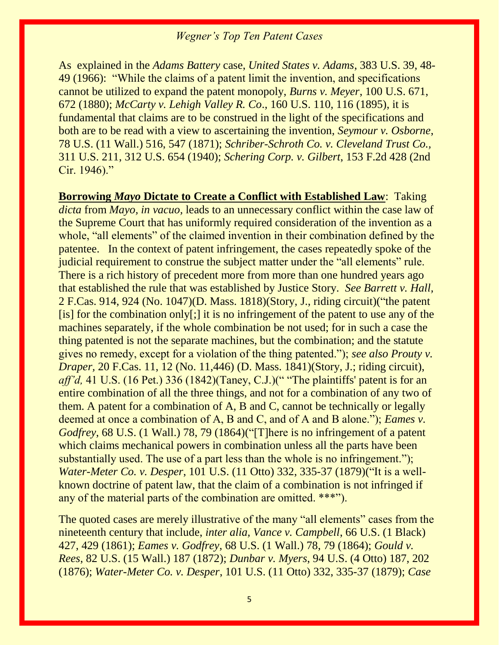As explained in the *Adams Battery* case, *United States v. Adams*, 383 U.S. 39, 48- 49 (1966): "While the claims of a patent limit the invention, and specifications cannot be utilized to expand the patent monopoly, *Burns v. Meyer*, 100 U.S. 671, 672 (1880); *McCarty v. Lehigh Valley R. Co*., 160 U.S. 110, 116 (1895), it is fundamental that claims are to be construed in the light of the specifications and both are to be read with a view to ascertaining the invention, *Seymour v. Osborne*, 78 U.S. (11 Wall.) 516, 547 (1871); *Schriber-Schroth Co. v. Cleveland Trust Co.,* 311 U.S. 211, 312 U.S. 654 (1940); *Schering Corp. v. Gilbert*, 153 F.2d 428 (2nd Cir. 1946)."

**Borrowing** *Mayo* **Dictate to Create a Conflict with Established Law**: Taking *dicta* from *Mayo, in vacuo,* leads to an unnecessary conflict within the case law of the Supreme Court that has uniformly required consideration of the invention as a whole, "all elements" of the claimed invention in their combination defined by the patentee. In the context of patent infringement, the cases repeatedly spoke of the judicial requirement to construe the subject matter under the "all elements" rule. There is a rich history of precedent more from more than one hundred years ago that established the rule that was established by Justice Story. *See Barrett v. Hall,*  2 F.Cas. 914, 924 (No. 1047)(D. Mass. 1818)(Story, J., riding circuit)("the patent [is] for the combination only[;] it is no infringement of the patent to use any of the machines separately, if the whole combination be not used; for in such a case the thing patented is not the separate machines, but the combination; and the statute gives no remedy, except for a violation of the thing patented."); *see also Prouty v. Draper*, 20 F.Cas. 11, 12 (No. 11, 446) (D. Mass. 1841) (Story, J.; riding circuit), *aff'd*, 41 U.S. (16 Pet.) 336 (1842)(Taney, C.J.)(" "The plaintiffs' patent is for an entire combination of all the three things, and not for a combination of any two of them. A patent for a combination of A, B and C, cannot be technically or legally deemed at once a combination of A, B and C, and of A and B alone."); *Eames v. Godfrey*, 68 U.S. (1 Wall.) 78, 79 (1864)("[T]here is no infringement of a patent which claims mechanical powers in combination unless all the parts have been substantially used. The use of a part less than the whole is no infringement."); *Water-Meter Co. v. Desper*, 101 U.S. (11 Otto) 332, 335-37 (1879)("It is a wellknown doctrine of patent law, that the claim of a combination is not infringed if any of the material parts of the combination are omitted. \*\*\*").

The quoted cases are merely illustrative of the many "all elements" cases from the nineteenth century that include, *inter alia, Vance v. Campbell*, 66 U.S. (1 Black) 427, 429 (1861); *Eames v. Godfrey*, 68 U.S. (1 Wall.) 78, 79 (1864); *Gould v. Rees*, 82 U.S. (15 Wall.) 187 (1872); *Dunbar v. Myers*, 94 U.S. (4 Otto) 187, 202 (1876); *Water-Meter Co. v. Desper*, 101 U.S. (11 Otto) 332, 335-37 (1879); *Case*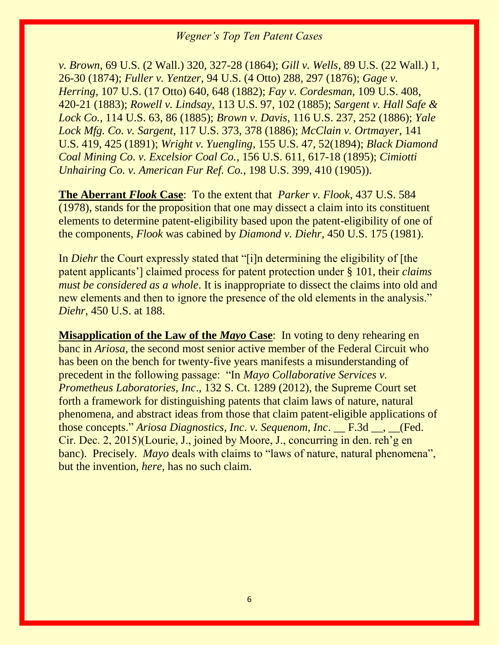*v. Brown*, 69 U.S. (2 Wall.) 320, 327-28 (1864); *Gill v. Wells*, 89 U.S. (22 Wall.) 1, 26-30 (1874); *Fuller v. Yentzer*, 94 U.S. (4 Otto) 288, 297 (1876); *Gage v. Herring*, 107 U.S. (17 Otto) 640, 648 (1882); *Fay v. Cordesman*, 109 U.S. 408, 420-21 (1883); *Rowell v. Lindsay*, 113 U.S. 97, 102 (1885); *Sargent v. Hall Safe & Lock Co.*, 114 U.S. 63, 86 (1885); *Brown v. Davis*, 116 U.S. 237, 252 (1886); *Yale Lock Mfg. Co. v. Sargent*, 117 U.S. 373, 378 (1886); *McClain v. Ortmayer*, 141 U.S. 419, 425 (1891); *Wright v. Yuengling*, 155 U.S. 47, 52(1894); *Black Diamond Coal Mining Co. v. Excelsior Coal Co.*, 156 U.S. 611, 617-18 (1895); *Cimiotti Unhairing Co. v. American Fur Ref. Co.*, 198 U.S. 399, 410 (1905)).

**The Aberrant** *Flook* **Case**: To the extent that *Parker v. Flook*, 437 U.S. 584 (1978), stands for the proposition that one may dissect a claim into its constituent elements to determine patent-eligibility based upon the patent-eligibility of one of the components, *Flook* was cabined by *Diamond v. Diehr*, 450 U.S. 175 (1981).

In *Diehr* the Court expressly stated that "[i]n determining the eligibility of [the patent applicants'] claimed process for patent protection under § 101, their *claims must be considered as a whole*. It is inappropriate to dissect the claims into old and new elements and then to ignore the presence of the old elements in the analysis." *Diehr*, 450 U.S. at 188.

**Misapplication of the Law of the** *Mayo* **Case**: In voting to deny rehearing en banc in *Ariosa,* the second most senior active member of the Federal Circuit who has been on the bench for twenty-five years manifests a misunderstanding of precedent in the following passage: "In *Mayo Collaborative Services v. Prometheus Laboratories, Inc*., 132 S. Ct. 1289 (2012), the Supreme Court set forth a framework for distinguishing patents that claim laws of nature, natural phenomena, and abstract ideas from those that claim patent-eligible applications of those concepts." *Ariosa Diagnostics, Inc. v. Sequenom, Inc*. \_\_ F.3d \_\_, \_\_(Fed. Cir. Dec. 2, 2015)(Lourie, J., joined by Moore, J., concurring in den. reh'g en banc). Precisely. *Mayo* deals with claims to "laws of nature, natural phenomena", but the invention, *here,* has no such claim.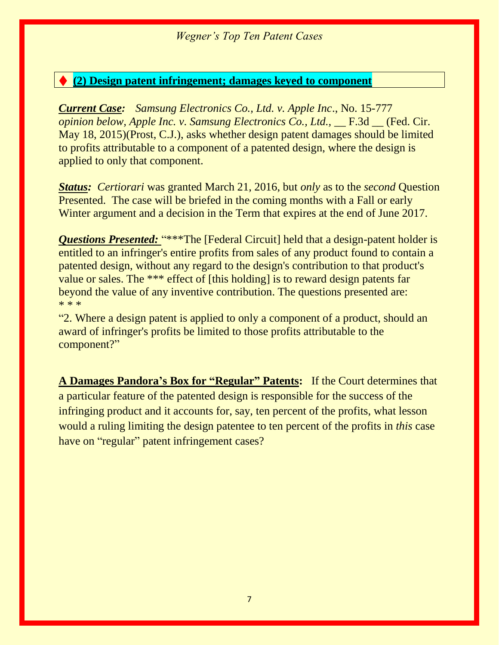# ♦ **(2) Design patent infringement; damages keyed to component**

*Current Case: Samsung Electronics Co., Ltd. v. Apple Inc*., No. 15-777 *opinion below, Apple Inc. v. Samsung Electronics Co., Ltd.,* F.3d (Fed. Cir. May 18, 2015)(Prost, C.J.), asks whether design patent damages should be limited to profits attributable to a component of a patented design, where the design is applied to only that component.

*Status: Certiorari* was granted March 21, 2016, but *only* as to the *second* Question Presented. The case will be briefed in the coming months with a Fall or early Winter argument and a decision in the Term that expires at the end of June 2017.

*Questions Presented: "\*\*\*The [Federal Circuit] held that a design-patent holder is* entitled to an infringer's entire profits from sales of any product found to contain a patented design, without any regard to the design's contribution to that product's value or sales. The \*\*\* effect of [this holding] is to reward design patents far beyond the value of any inventive contribution. The questions presented are: \* \* \*

"2. Where a design patent is applied to only a component of a product, should an award of infringer's profits be limited to those profits attributable to the component?"

**A Damages Pandora's Box for "Regular" Patents:** If the Court determines that a particular feature of the patented design is responsible for the success of the infringing product and it accounts for, say, ten percent of the profits, what lesson would a ruling limiting the design patentee to ten percent of the profits in *this* case have on "regular" patent infringement cases?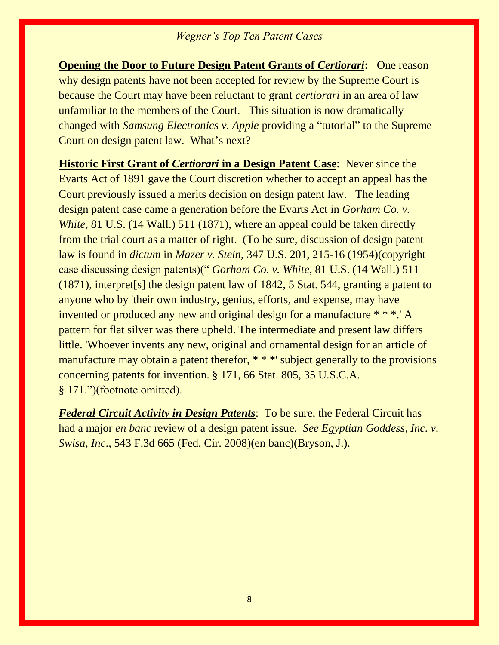**Opening the Door to Future Design Patent Grants of** *Certiorari***: One reason** why design patents have not been accepted for review by the Supreme Court is because the Court may have been reluctant to grant *certiorari* in an area of law unfamiliar to the members of the Court. This situation is now dramatically changed with *Samsung Electronics v. Apple* providing a "tutorial" to the Supreme Court on design patent law. What's next?

**Historic First Grant of** *Certiorari* **in a Design Patent Case**: Never since the Evarts Act of 1891 gave the Court discretion whether to accept an appeal has the Court previously issued a merits decision on design patent law. The leading design patent case came a generation before the Evarts Act in *Gorham Co. v. White,* 81 U.S. (14 Wall.) 511 (1871), where an appeal could be taken directly from the trial court as a matter of right. (To be sure, discussion of design patent law is found in *dictum* in *Mazer v. Stein*, 347 U.S. 201, 215-16 (1954)(copyright case discussing design patents)(" *Gorham Co. v. White*, 81 U.S. (14 Wall.) 511 (1871), interpret[s] the design patent law of 1842, 5 Stat. 544, granting a patent to anyone who by 'their own industry, genius, efforts, and expense, may have invented or produced any new and original design for a manufacture \* \* \*.' A pattern for flat silver was there upheld. The intermediate and present law differs little. 'Whoever invents any new, original and ornamental design for an article of manufacture may obtain a patent therefor, \* \* \*' subject generally to the provisions concerning patents for invention. § 171, 66 Stat. 805, 35 U.S.C.A. § 171.")(footnote omitted).

*Federal Circuit Activity in Design Patents*: To be sure, the Federal Circuit has had a major *en banc* review of a design patent issue. *See Egyptian Goddess, Inc. v. Swisa, Inc*., 543 F.3d 665 (Fed. Cir. 2008)(en banc)(Bryson, J.).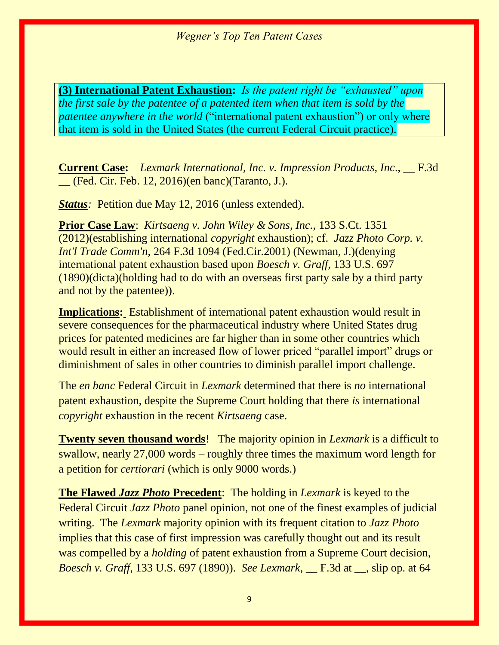**(3) International Patent Exhaustion:** *Is the patent right be "exhausted" upon the first sale by the patentee of a patented item when that item is sold by the patentee anywhere in the world* ("international patent exhaustion") or only where that item is sold in the United States (the current Federal Circuit practice).

**Current Case:** *Lexmark International, Inc. v. Impression Products, Inc*., \_\_ F.3d \_\_ (Fed. Cir. Feb. 12, 2016)(en banc)(Taranto, J.).

*Status:* Petition due May 12, 2016 (unless extended).

**Prior Case Law**: *Kirtsaeng v. John Wiley & Sons, Inc.,* 133 S.Ct. 1351 (2012)(establishing international *copyright* exhaustion); cf. *Jazz Photo Corp. v. Int'l Trade Comm'n,* 264 F.3d 1094 (Fed.Cir.2001) (Newman, J.)(denying international patent exhaustion based upon *Boesch v. Graff*, 133 U.S. 697 (1890)(dicta)(holding had to do with an overseas first party sale by a third party and not by the patentee)).

**Implications:** Establishment of international patent exhaustion would result in severe consequences for the pharmaceutical industry where United States drug prices for patented medicines are far higher than in some other countries which would result in either an increased flow of lower priced "parallel import" drugs or diminishment of sales in other countries to diminish parallel import challenge.

The *en banc* Federal Circuit in *Lexmark* determined that there is *no* international patent exhaustion, despite the Supreme Court holding that there *is* international *copyright* exhaustion in the recent *Kirtsaeng* case.

**Twenty seven thousand words**! The majority opinion in *Lexmark* is a difficult to swallow, nearly 27,000 words – roughly three times the maximum word length for a petition for *certiorari* (which is only 9000 words.)

**The Flawed** *Jazz Photo* **Precedent**: The holding in *Lexmark* is keyed to the Federal Circuit *Jazz Photo* panel opinion, not one of the finest examples of judicial writing. The *Lexmark* majority opinion with its frequent citation to *Jazz Photo*  implies that this case of first impression was carefully thought out and its result was compelled by a *holding* of patent exhaustion from a Supreme Court decision, *Boesch v. Graff,* 133 U.S. 697 (1890)). *See Lexmark,* \_\_ F.3d at \_\_, slip op. at 64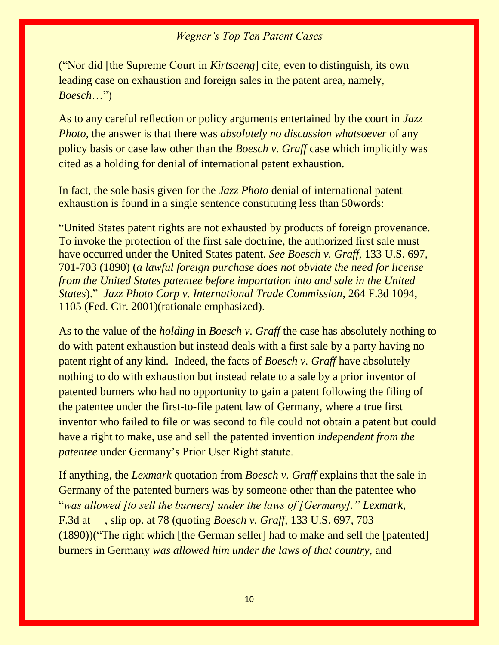("Nor did [the Supreme Court in *Kirtsaeng*] cite, even to distinguish, its own leading case on exhaustion and foreign sales in the patent area, namely, *Boesch*…")

As to any careful reflection or policy arguments entertained by the court in *Jazz Photo,* the answer is that there was *absolutely no discussion whatsoever* of any policy basis or case law other than the *Boesch v. Graff* case which implicitly was cited as a holding for denial of international patent exhaustion.

In fact, the sole basis given for the *Jazz Photo* denial of international patent exhaustion is found in a single sentence constituting less than 50words:

"United States patent rights are not exhausted by products of foreign provenance. To invoke the protection of the first sale doctrine, the authorized first sale must have occurred under the United States patent*. See Boesch v. Graff,* 133 U.S. 697, 701-703 (1890) (*a lawful foreign purchase does not obviate the need for license from the United States patentee before importation into and sale in the United States*)." *Jazz Photo Corp v. International Trade Commission*, 264 F.3d 1094, 1105 (Fed. Cir. 2001)(rationale emphasized).

As to the value of the *holding* in *Boesch v. Graff* the case has absolutely nothing to do with patent exhaustion but instead deals with a first sale by a party having no patent right of any kind. Indeed, the facts of *Boesch v. Graff* have absolutely nothing to do with exhaustion but instead relate to a sale by a prior inventor of patented burners who had no opportunity to gain a patent following the filing of the patentee under the first-to-file patent law of Germany, where a true first inventor who failed to file or was second to file could not obtain a patent but could have a right to make, use and sell the patented invention *independent from the patentee* under Germany's Prior User Right statute.

If anything, the *Lexmark* quotation from *Boesch v. Graff* explains that the sale in Germany of the patented burners was by someone other than the patentee who "*was allowed [to sell the burners] under the laws of [Germany]." Lexmark,* \_\_ F.3d at \_\_, slip op. at 78 (quoting *Boesch v. Graff,* 133 U.S. 697, 703 (1890))("The right which [the German seller] had to make and sell the [patented] burners in Germany *was allowed him under the laws of that country,* and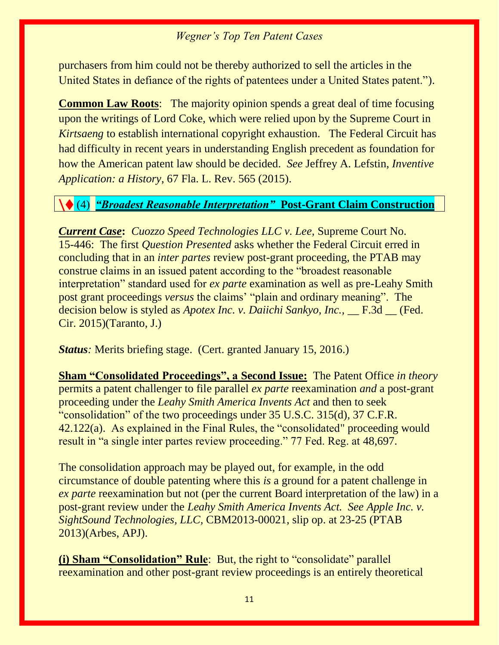purchasers from him could not be thereby authorized to sell the articles in the United States in defiance of the rights of patentees under a United States patent.").

**Common Law Roots**: The majority opinion spends a great deal of time focusing upon the writings of Lord Coke, which were relied upon by the Supreme Court in *Kirtsaeng* to establish international copyright exhaustion. The Federal Circuit has had difficulty in recent years in understanding English precedent as foundation for how the American patent law should be decided. *See* Jeffrey A. Lefstin, *Inventive Application: a History*, 67 Fla. L. Rev. 565 (2015).

# \♦ (4) *"Broadest Reasonable Interpretation"* **Post-Grant Claim Construction**

*Current Case***:** *Cuozzo Speed Technologies LLC v. Lee,* Supreme Court No. 15-446: The first *Question Presented* asks whether the Federal Circuit erred in concluding that in an *inter partes* review post-grant proceeding, the PTAB may construe claims in an issued patent according to the "broadest reasonable interpretation" standard used for *ex parte* examination as well as pre-Leahy Smith post grant proceedings *versus* the claims' "plain and ordinary meaning". The decision below is styled as *Apotex Inc. v. Daiichi Sankyo, Inc.*, F.3d (Fed.) Cir. 2015)(Taranto, J.)

*Status*: Merits briefing stage. (Cert. granted January 15, 2016.)

**Sham "Consolidated Proceedings", a Second Issue:** The Patent Office *in theory*  permits a patent challenger to file parallel *ex parte* reexamination *and* a post-grant proceeding under the *Leahy Smith America Invents Act* and then to seek "consolidation" of the two proceedings under 35 U.S.C. 315(d), 37 C.F.R. 42.122(a). As explained in the Final Rules, the "consolidated" proceeding would result in "a single inter partes review proceeding." 77 Fed. Reg. at 48,697.

The consolidation approach may be played out, for example, in the odd circumstance of double patenting where this *is* a ground for a patent challenge in *ex parte* reexamination but not (per the current Board interpretation of the law) in a post-grant review under the *Leahy Smith America Invents Act. See Apple Inc. v. SightSound Technologies, LLC,* CBM2013-00021, slip op. at 23-25 (PTAB 2013)(Arbes, APJ).

**(i) Sham "Consolidation" Rule**: But, the right to "consolidate" parallel reexamination and other post-grant review proceedings is an entirely theoretical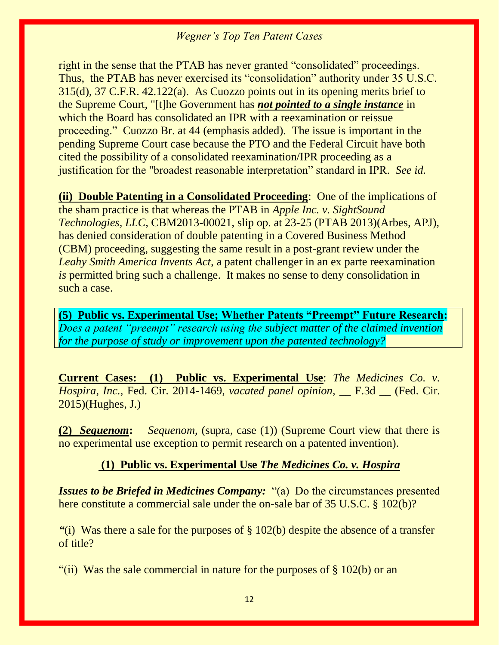right in the sense that the PTAB has never granted "consolidated" proceedings. Thus, the PTAB has never exercised its "consolidation" authority under 35 U.S.C. 315(d), 37 C.F.R. 42.122(a). As Cuozzo points out in its opening merits brief to the Supreme Court, "[t]he Government has *not pointed to a single instance* in which the Board has consolidated an IPR with a reexamination or reissue proceeding." Cuozzo Br. at 44 (emphasis added). The issue is important in the pending Supreme Court case because the PTO and the Federal Circuit have both cited the possibility of a consolidated reexamination/IPR proceeding as a justification for the "broadest reasonable interpretation" standard in IPR. *See id.*

**(ii) Double Patenting in a Consolidated Proceeding**: One of the implications of the sham practice is that whereas the PTAB in *Apple Inc. v. SightSound Technologies, LLC,* CBM2013-00021, slip op. at 23-25 (PTAB 2013)(Arbes, APJ), has denied consideration of double patenting in a Covered Business Method (CBM) proceeding, suggesting the same result in a post-grant review under the *Leahy Smith America Invents Act,* a patent challenger in an ex parte reexamination *is* permitted bring such a challenge. It makes no sense to deny consolidation in such a case.

**(5) Public vs. Experimental Use; Whether Patents "Preempt" Future Research:**  *Does a patent "preempt" research using the subject matter of the claimed invention for the purpose of study or improvement upon the patented technology?*

**Current Cases: (1) Public vs. Experimental Use**: *The Medicines Co. v. Hospira, Inc.,* Fed. Cir. 2014-1469, *vacated panel opinion,* \_\_ F.3d \_\_ (Fed. Cir. 2015)(Hughes, J.)

**(2)** *Sequenom***:** *Sequenom,* (supra, case (1)) (Supreme Court view that there is no experimental use exception to permit research on a patented invention).

#### **(1) Public vs. Experimental Use** *The Medicines Co. v. Hospira*

*Issues to be Briefed in Medicines Company:* "(a) Do the circumstances presented here constitute a commercial sale under the on-sale bar of 35 U.S.C. § 102(b)?

*"*(i) Was there a sale for the purposes of § 102(b) despite the absence of a transfer of title?

"(ii) Was the sale commercial in nature for the purposes of  $\S 102(b)$  or an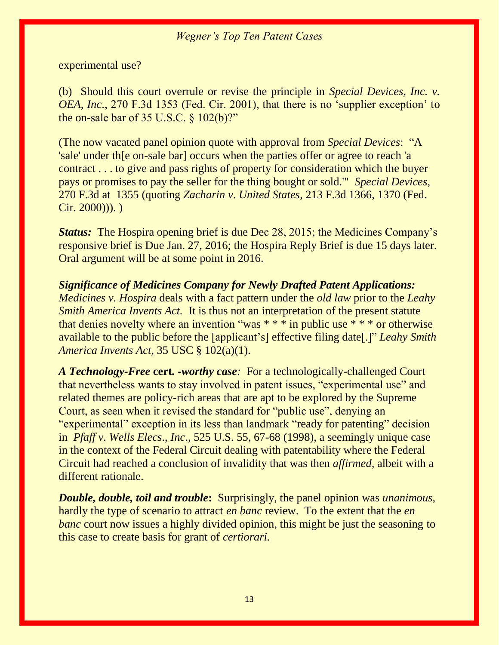experimental use?

(b) Should this court overrule or revise the principle in *Special Devices, Inc. v. OEA, Inc*., 270 F.3d 1353 (Fed. Cir. 2001), that there is no 'supplier exception' to the on-sale bar of 35 U.S.C.  $\frac{102(b)$ ?"

(The now vacated panel opinion quote with approval from *Special Devices*: "A 'sale' under th[e on-sale bar] occurs when the parties offer or agree to reach 'a contract . . . to give and pass rights of property for consideration which the buyer pays or promises to pay the seller for the thing bought or sold.'" *Special Devices,*  270 F.3d at 1355 (quoting *Zacharin v*. *United States,* 213 F.3d 1366, 1370 (Fed.  $Cir. 2000))$ .

*Status:* The Hospira opening brief is due Dec 28, 2015; the Medicines Company's responsive brief is Due Jan. 27, 2016; the Hospira Reply Brief is due 15 days later. Oral argument will be at some point in 2016.

*Significance of Medicines Company for Newly Drafted Patent Applications: Medicines v. Hospira* deals with a fact pattern under the *old law* prior to the *Leahy Smith America Invents Act.* It is thus not an interpretation of the present statute that denies novelty where an invention "was  $***$  in public use  $***$  or otherwise available to the public before the [applicant's] effective filing date[.]" *Leahy Smith America Invents Act,* 35 USC § 102(a)(1).

*A Technology-Free* **cert***. -worthy case:* For a technologically-challenged Court that nevertheless wants to stay involved in patent issues, "experimental use" and related themes are policy-rich areas that are apt to be explored by the Supreme Court, as seen when it revised the standard for "public use", denying an "experimental" exception in its less than landmark "ready for patenting" decision in *Pfaff v*. *Wells Elecs*., *Inc*., 525 U.S. 55, 67-68 (1998), a seemingly unique case in the context of the Federal Circuit dealing with patentability where the Federal Circuit had reached a conclusion of invalidity that was then *affirmed,* albeit with a different rationale.

*Double, double, toil and trouble***:** Surprisingly, the panel opinion was *unanimous,*  hardly the type of scenario to attract *en banc* review. To the extent that the *en banc* court now issues a highly divided opinion, this might be just the seasoning to this case to create basis for grant of *certiorari.*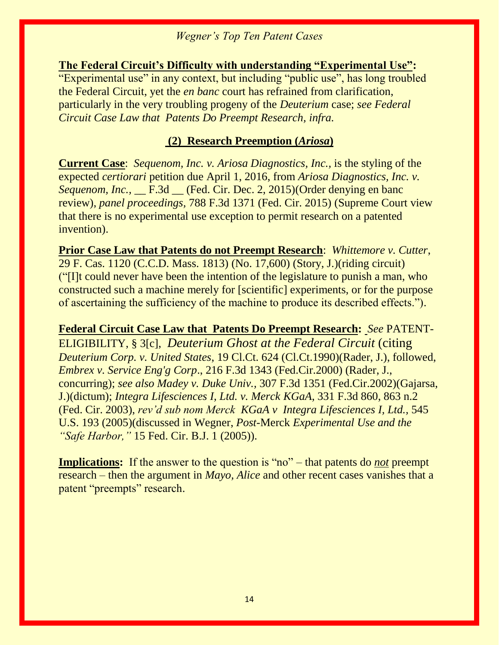**The Federal Circuit's Difficulty with understanding "Experimental Use":**  "Experimental use" in any context, but including "public use", has long troubled the Federal Circuit, yet the *en banc* court has refrained from clarification, particularly in the very troubling progeny of the *Deuterium* case; *see Federal Circuit Case Law that Patents Do Preempt Research, infra.*

### **(2) Research Preemption (***Ariosa***)**

**Current Case**: *Sequenom, Inc. v. Ariosa Diagnostics, Inc.,* is the styling of the expected *certiorari* petition due April 1, 2016, from *Ariosa Diagnostics, Inc. v. Sequenom, Inc.,* \_\_ F.3d \_\_ (Fed. Cir. Dec. 2, 2015)(Order denying en banc review), *panel proceedings,* 788 F.3d 1371 (Fed. Cir. 2015) (Supreme Court view that there is no experimental use exception to permit research on a patented invention).

**Prior Case Law that Patents do not Preempt Research**: *Whittemore v. Cutter*, [29 F. Cas. 1120 \(C.C.D. Mass. 1813\)](http://web2.westlaw.com/find/default.wl?mt=208&db=349&tc=-1&rp=%2ffind%2fdefault.wl&findtype=Y&ordoc=0327141183&serialnum=1800139587&vr=2.0&fn=_top&sv=Split&tf=-1&pbc=1CB7E4D8&rs=WLW12.10) (No. 17,600) (Story, J.)(riding circuit) ("[I]t could never have been the intention of the legislature to punish a man, who constructed such a machine merely for [scientific] experiments, or for the purpose of ascertaining the sufficiency of the machine to produce its described effects.").

**Federal Circuit Case Law that Patents Do Preempt Research:** *See* PATENT-ELIGIBILITY, § 3[c], *Deuterium Ghost at the Federal Circuit* (citing *Deuterium Corp. v. United States*, 19 Cl.Ct. 624 (Cl.Ct.1990)(Rader, J.), followed, *Embrex v. Service Eng'g Corp*., 216 F.3d 1343 (Fed.Cir.2000) (Rader, J., concurring); *see also Madey v. Duke Univ.,* 307 F.3d 1351 (Fed.Cir.2002)(Gajarsa, J.)(dictum); *Integra Lifesciences I, Ltd. v. Merck KGaA*, 331 F.3d 860, 863 n.2 (Fed. Cir. 2003), *rev'd sub nom Merck KGaA v Integra Lifesciences I, Ltd.,* 545 U.S. 193 (2005)(discussed in Wegner, *Post*-Merck *Experimental Use and the "Safe Harbor,"* 15 Fed. Cir. B.J. 1 (2005)).

**Implications:** If the answer to the question is "no" – that patents do *not* preempt research – then the argument in *Mayo, Alice* and other recent cases vanishes that a patent "preempts" research.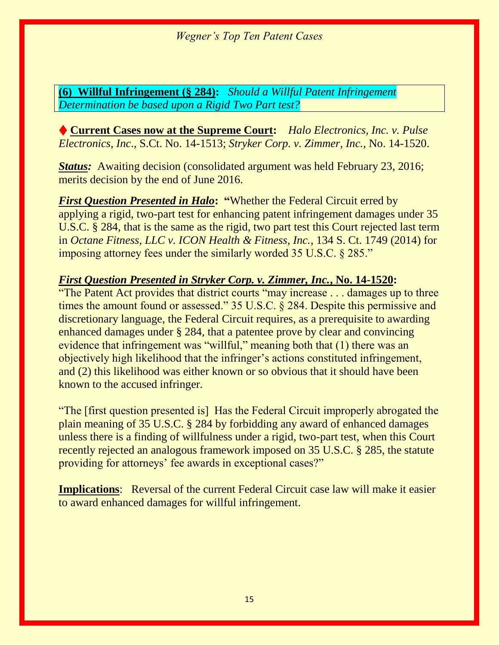**(6)****Willful Infringement (§ 284):** *Should a Willful Patent Infringement Determination be based upon a Rigid Two Part test?*

♦ **Current Cases now at the Supreme Court:** *Halo Electronics, Inc. v. Pulse Electronics, Inc*., S.Ct. No. 14-1513; *Stryker Corp. v. Zimmer, Inc.*, No. 14-1520.

*Status:* Awaiting decision (consolidated argument was held February 23, 2016; merits decision by the end of June 2016.

*First Question Presented in Halo***: "**Whether the Federal Circuit erred by applying a rigid, two-part test for enhancing patent infringement damages under 35 U.S.C. § 284, that is the same as the rigid, two part test this Court rejected last term in *Octane Fitness, LLC v. ICON Health & Fitness, Inc.*, 134 S. Ct. 1749 (2014) for imposing attorney fees under the similarly worded 35 U.S.C. § 285."

# *First Question Presented in Stryker Corp. v. Zimmer, Inc.***, No. 14-1520:**

"The Patent Act provides that district courts "may increase . . . damages up to three times the amount found or assessed." 35 U.S.C. § 284. Despite this permissive and discretionary language, the Federal Circuit requires, as a prerequisite to awarding enhanced damages under § 284, that a patentee prove by clear and convincing evidence that infringement was "willful," meaning both that (1) there was an objectively high likelihood that the infringer's actions constituted infringement, and (2) this likelihood was either known or so obvious that it should have been known to the accused infringer.

"The [first question presented is] Has the Federal Circuit improperly abrogated the plain meaning of 35 U.S.C. § 284 by forbidding any award of enhanced damages unless there is a finding of willfulness under a rigid, two-part test, when this Court recently rejected an analogous framework imposed on 35 U.S.C. § 285, the statute providing for attorneys' fee awards in exceptional cases?"

**Implications:** Reversal of the current Federal Circuit case law will make it easier to award enhanced damages for willful infringement.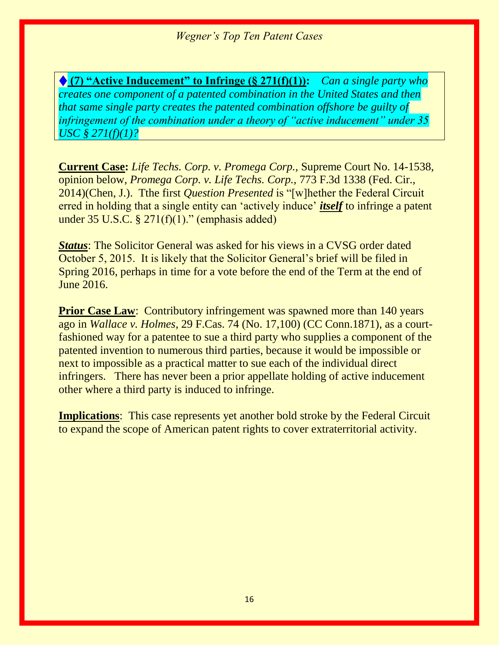♦ **(7) "Active Inducement" to Infringe (§ 271(f)(1)):** *Can a single party who creates one component of a patented combination in the United States and then that same single party creates the patented combination offshore be guilty of infringement of the combination under a theory of "active inducement" under 35 USC § 271(f)(1)?*

**Current Case:** *Life Techs. Corp. v. Promega Corp.,* Supreme Court No. 14-1538, opinion below, *Promega Corp. v. Life Techs. Corp.,* 773 F.3d 1338 (Fed. Cir., 2014)(Chen, J.). Tthe first *Question Presented* is "[w]hether the Federal Circuit erred in holding that a single entity can 'actively induce' *itself* to infringe a patent under  $35 \text{ U.S.C.}$  §  $271(f)(1)$ ." (emphasis added)

*Status*: The Solicitor General was asked for his views in a CVSG order dated October 5, 2015. It is likely that the Solicitor General's brief will be filed in Spring 2016, perhaps in time for a vote before the end of the Term at the end of June 2016.

**Prior Case Law:** Contributory infringement was spawned more than 140 years ago in *Wallace v. Holmes*, 29 F.Cas. 74 (No. 17,100) (CC Conn.1871), as a courtfashioned way for a patentee to sue a third party who supplies a component of the patented invention to numerous third parties, because it would be impossible or next to impossible as a practical matter to sue each of the individual direct infringers. There has never been a prior appellate holding of active inducement other where a third party is induced to infringe.

**Implications**: This case represents yet another bold stroke by the Federal Circuit to expand the scope of American patent rights to cover extraterritorial activity.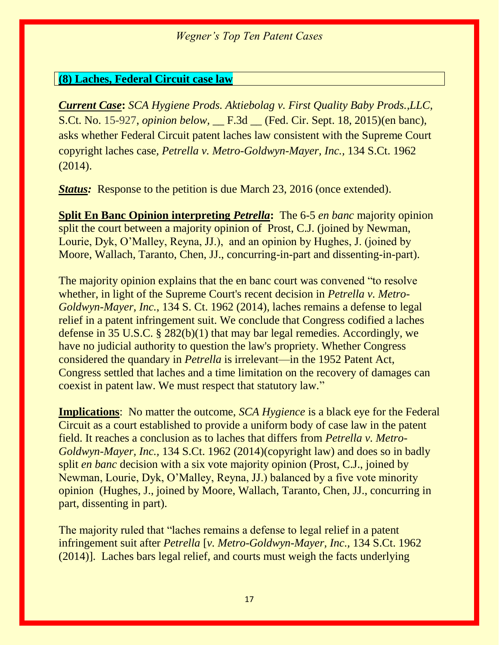#### **(8) Laches, Federal Circuit case law**

*Current Case***:** *SCA Hygiene Prods. Aktiebolag v. First Quality Baby Prods.,LLC,*  S.Ct. No. 15-927, *opinion below,* \_\_ F.3d \_\_ (Fed. Cir. Sept. 18, 2015)(en banc), asks whether Federal Circuit patent laches law consistent with the Supreme Court copyright laches case*, Petrella v. Metro-Goldwyn-Mayer, Inc.,* 134 S.Ct. 1962 (2014).

**Status:** Response to the petition is due March 23, 2016 (once extended).

**Split En Banc Opinion interpreting** *Petrella***:** The 6-5 *en banc* majority opinion split the court between a majority opinion of Prost, C.J. (joined by Newman, Lourie, Dyk, O'Malley, Reyna, JJ.), and an opinion by Hughes, J. (joined by Moore, Wallach, Taranto, Chen, JJ., concurring-in-part and dissenting-in-part).

The majority opinion explains that the en banc court was convened "to resolve whether, in light of the Supreme Court's recent decision in *Petrella v. Metro-Goldwyn-Mayer, Inc.*, 134 S. Ct. 1962 (2014), laches remains a defense to legal relief in a patent infringement suit. We conclude that Congress codified a laches defense in 35 U.S.C. § 282(b)(1) that may bar legal remedies. Accordingly, we have no judicial authority to question the law's propriety. Whether Congress considered the quandary in *Petrella* is irrelevant—in the 1952 Patent Act, Congress settled that laches and a time limitation on the recovery of damages can coexist in patent law. We must respect that statutory law."

**Implications**: No matter the outcome, *SCA Hygience* is a black eye for the Federal Circuit as a court established to provide a uniform body of case law in the patent field. It reaches a conclusion as to laches that differs from *Petrella v. Metro-Goldwyn-Mayer, Inc.,* 134 S.Ct. 1962 (2014)(copyright law) and does so in badly split *en banc* decision with a six vote majority opinion (Prost, C.J., joined by Newman, Lourie, Dyk, O'Malley, Reyna, JJ.) balanced by a five vote minority opinion (Hughes, J., joined by Moore, Wallach, Taranto, Chen, JJ., concurring in part, dissenting in part).

The majority ruled that "laches remains a defense to legal relief in a patent infringement suit after *Petrella* [*v. Metro-Goldwyn-Mayer, Inc.,* 134 S.Ct. 1962 (2014)]. Laches bars legal relief, and courts must weigh the facts underlying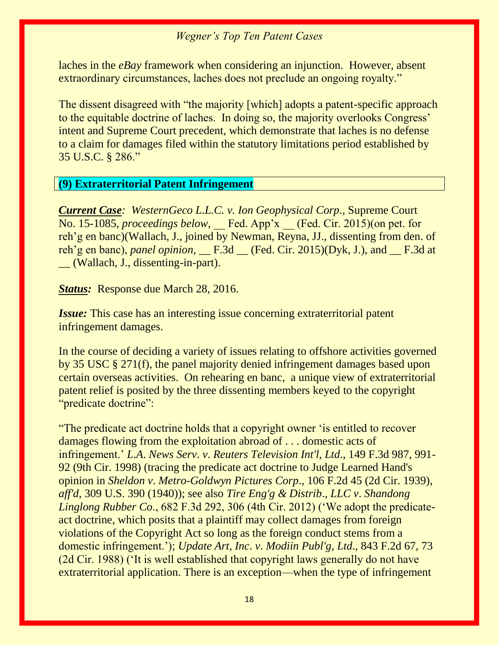laches in the *eBay* framework when considering an injunction. However, absent extraordinary circumstances, laches does not preclude an ongoing royalty."

The dissent disagreed with "the majority [which] adopts a patent-specific approach to the equitable doctrine of laches. In doing so, the majority overlooks Congress' intent and Supreme Court precedent, which demonstrate that laches is no defense to a claim for damages filed within the statutory limitations period established by 35 U.S.C. § 286."

#### **(9) Extraterritorial Patent Infringement**

*Current Case: WesternGeco L.L.C. v. Ion Geophysical Corp*., Supreme Court No. 15-1085, *proceedings below*, Fed. App'x (Fed. Cir. 2015)(on pet. for reh'g en banc)(Wallach, J., joined by Newman, Reyna, JJ., dissenting from den. of reh'g en banc), *panel opinion,* \_\_ F.3d \_\_ (Fed. Cir. 2015)(Dyk, J.), and \_\_ F.3d at \_\_ (Wallach, J., dissenting-in-part).

*Status:* Response due March 28, 2016.

*Issue:* This case has an interesting issue concerning extraterritorial patent infringement damages.

In the course of deciding a variety of issues relating to offshore activities governed by 35 USC § 271(f), the panel majority denied infringement damages based upon certain overseas activities. On rehearing en banc, a unique view of extraterritorial patent relief is posited by the three dissenting members keyed to the copyright "predicate doctrine":

"The predicate act doctrine holds that a copyright owner 'is entitled to recover damages flowing from the exploitation abroad of . . . domestic acts of infringement.' *L*.*A*. *News Serv*. *v*. *Reuters Television Int'l*, *Ltd*., 149 F.3d 987, 991- 92 (9th Cir. 1998) (tracing the predicate act doctrine to Judge Learned Hand's opinion in *Sheldon v*. *Metro-Goldwyn Pictures Corp*., 106 F.2d 45 (2d Cir. 1939), *aff'd*, 309 U.S. 390 (1940)); see also *Tire Eng'g & Distrib*., *LLC v*. *Shandong Linglong Rubber Co*., 682 F.3d 292, 306 (4th Cir. 2012) ('We adopt the predicateact doctrine, which posits that a plaintiff may collect damages from foreign violations of the Copyright Act so long as the foreign conduct stems from a domestic infringement.'); *Update Art*, *Inc*. *v*. *Modiin Publ'g*, *Ltd*., 843 F.2d 67, 73 (2d Cir. 1988) ('It is well established that copyright laws generally do not have extraterritorial application. There is an exception—when the type of infringement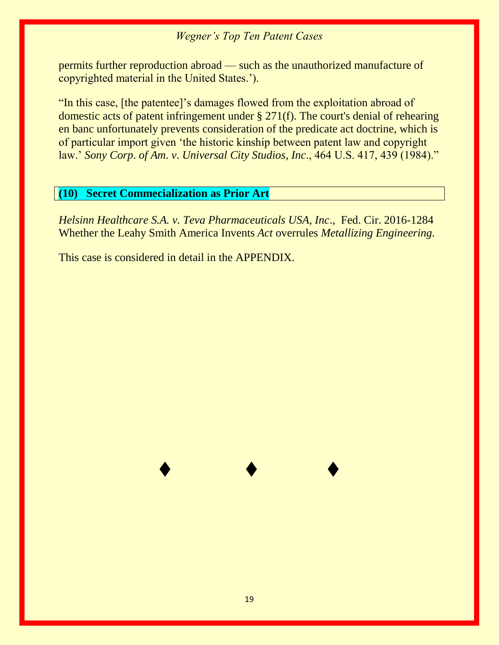permits further reproduction abroad — such as the unauthorized manufacture of copyrighted material in the United States.').

"In this case, [the patentee]'s damages flowed from the exploitation abroad of domestic acts of patent infringement under § 271(f). The court's denial of rehearing en banc unfortunately prevents consideration of the predicate act doctrine, which is of particular import given 'the historic kinship between patent law and copyright law.' *Sony Corp*. *of Am*. *v*. *Universal City Studios*, *Inc*., 464 U.S. 417, 439 (1984)."

#### **(10) Secret Commecialization as Prior Art**

*Helsinn Healthcare S.A. v. Teva Pharmaceuticals USA, Inc*., Fed. Cir. 2016-1284 Whether the Leahy Smith America Invents *Act* overrules *Metallizing Engineering.*

This case is considered in detail in the APPENDIX.

♦ ♦ ♦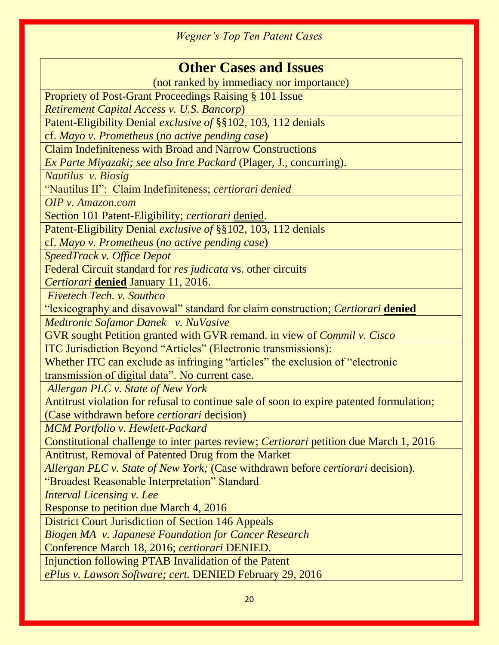| <b>Other Cases and Issues</b>                                                            |  |
|------------------------------------------------------------------------------------------|--|
| (not ranked by immediacy nor importance)                                                 |  |
| <b>Propriety of Post-Grant Proceedings Raising § 101 Issue</b>                           |  |
| Retirement Capital Access v. U.S. Bancorp)                                               |  |
| Patent-Eligibility Denial exclusive of §§102, 103, 112 denials                           |  |
| cf. Mayo v. Prometheus (no active pending case)                                          |  |
| <b>Claim Indefiniteness with Broad and Narrow Constructions</b>                          |  |
| Ex Parte Miyazaki; see also Inre Packard (Plager, J., concurring).                       |  |
| Nautilus v. Biosig                                                                       |  |
| "Nautilus II": Claim Indefiniteness; certiorari denied                                   |  |
| OIP v. Amazon.com                                                                        |  |
| Section 101 Patent-Eligibility; certiorari denied.                                       |  |
| Patent-Eligibility Denial exclusive of §§102, 103, 112 denials                           |  |
| cf. Mayo v. Prometheus (no active pending case)                                          |  |
| <b>SpeedTrack v. Office Depot</b>                                                        |  |
| Federal Circuit standard for res judicata vs. other circuits                             |  |
| Certiorari denied January 11, 2016.                                                      |  |
| Fivetech Tech. v. Southco                                                                |  |
| "lexicography and disavowal" standard for claim construction; Certiorari denied          |  |
| Medtronic Sofamor Danek v. NuVasive                                                      |  |
| GVR sought Petition granted with GVR remand. in view of <i>Commil v. Cisco</i>           |  |
| ITC Jurisdiction Beyond "Articles" (Electronic transmissions):                           |  |
| Whether ITC can exclude as infringing "articles" the exclusion of "electronic            |  |
| transmission of digital data". No current case.                                          |  |
| Allergan PLC v. State of New York                                                        |  |
| Antitrust violation for refusal to continue sale of soon to expire patented formulation; |  |
| (Case withdrawn before <i>certiorari</i> decision)                                       |  |
| <b>MCM</b> Portfolio v. Hewlett-Packard                                                  |  |
| Constitutional challenge to inter partes review; Certiorari petition due March 1, 2016   |  |
| Antitrust, Removal of Patented Drug from the Market                                      |  |
| Allergan PLC v. State of New York; (Case withdrawn before certiorari decision).          |  |
| "Broadest Reasonable Interpretation" Standard                                            |  |
| <b>Interval Licensing v. Lee</b>                                                         |  |
| Response to petition due March 4, 2016                                                   |  |
| <b>District Court Jurisdiction of Section 146 Appeals</b>                                |  |
| <b>Biogen MA</b> v. Japanese Foundation for Cancer Research                              |  |
| Conference March 18, 2016; certiorari DENIED.                                            |  |
| Injunction following PTAB Invalidation of the Patent                                     |  |
| ePlus v. Lawson Software; cert. DENIED February 29, 2016                                 |  |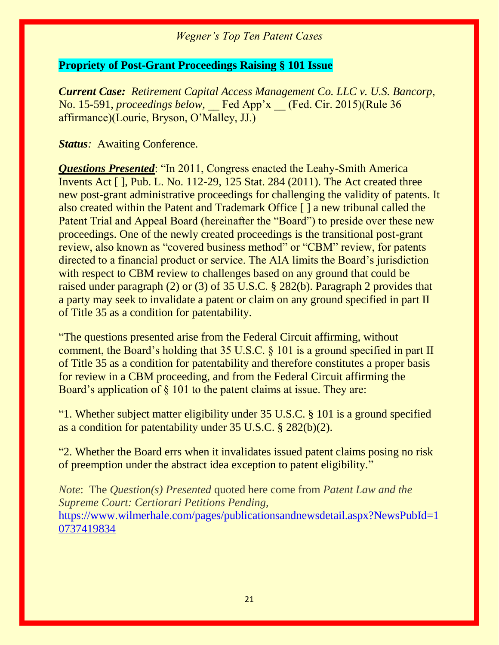#### **Propriety of Post-Grant Proceedings Raising § 101 Issue**

*Current Case: Retirement Capital Access Management Co. LLC v. U.S. Bancorp*, No. 15-591, *proceedings below*, Fed App'x (Fed. Cir. 2015)(Rule 36 affirmance)(Lourie, Bryson, O'Malley, JJ.)

#### **Status**: Awaiting Conference.

*Questions Presented*: "In 2011, Congress enacted the Leahy-Smith America Invents Act [ ], Pub. L. No. 112-29, 125 Stat. 284 (2011). The Act created three new post-grant administrative proceedings for challenging the validity of patents. It also created within the Patent and Trademark Office [ ] a new tribunal called the Patent Trial and Appeal Board (hereinafter the "Board") to preside over these new proceedings. One of the newly created proceedings is the transitional post-grant review, also known as "covered business method" or "CBM" review, for patents directed to a financial product or service. The AIA limits the Board's jurisdiction with respect to CBM review to challenges based on any ground that could be raised under paragraph (2) or (3) of 35 U.S.C. § 282(b). Paragraph 2 provides that a party may seek to invalidate a patent or claim on any ground specified in part II of Title 35 as a condition for patentability.

"The questions presented arise from the Federal Circuit affirming, without comment, the Board's holding that 35 U.S.C. § 101 is a ground specified in part II of Title 35 as a condition for patentability and therefore constitutes a proper basis for review in a CBM proceeding, and from the Federal Circuit affirming the Board's application of § 101 to the patent claims at issue. They are:

"1. Whether subject matter eligibility under 35 U.S.C. § 101 is a ground specified as a condition for patentability under 35 U.S.C. § 282(b)(2).

"2. Whether the Board errs when it invalidates issued patent claims posing no risk of preemption under the abstract idea exception to patent eligibility."

*Note*: The *Question(s) Presented* quoted here come from *Patent Law and the Supreme Court: Certiorari Petitions Pending,*  [https://www.wilmerhale.com/pages/publicationsandnewsdetail.aspx?NewsPubId=1](https://www.wilmerhale.com/pages/publicationsandnewsdetail.aspx?NewsPubId=10737419834) [0737419834](https://www.wilmerhale.com/pages/publicationsandnewsdetail.aspx?NewsPubId=10737419834)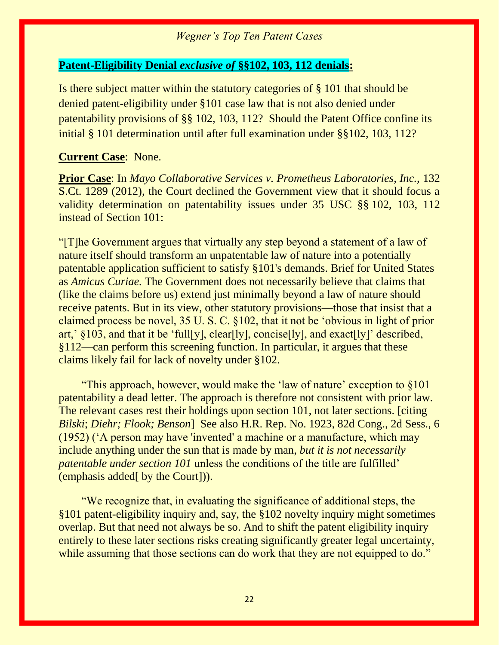#### **Patent-Eligibility Denial** *exclusive of* **§§102, 103, 112 denials:**

Is there subject matter within the statutory categories of § 101 that should be denied patent-eligibility under §101 case law that is not also denied under patentability provisions of §§ 102, 103, 112? Should the Patent Office confine its initial § 101 determination until after full examination under §§102, 103, 112?

#### **Current Case**: None.

**Prior Case**: In *Mayo Collaborative Services v. Prometheus Laboratories, Inc.,* 132 S.Ct. 1289 (2012), the Court declined the Government view that it should focus a validity determination on patentability issues under 35 USC §§ 102, 103, 112 instead of Section 101:

"[T]he Government argues that virtually any step beyond a statement of a law of nature itself should transform an unpatentable law of nature into a potentially patentable application sufficient to satisfy §101's demands. Brief for United States as *Amicus Curiae.* The Government does not necessarily believe that claims that (like the claims before us) extend just minimally beyond a law of nature should receive patents. But in its view, other statutory provisions—those that insist that a claimed process be novel, 35 U. S. C. §102, that it not be 'obvious in light of prior art,'  $\S 103$ , and that it be 'full[y], clear[ly], concise[ly], and exact[ly]' described, §112—can perform this screening function. In particular, it argues that these claims likely fail for lack of novelty under §102.

 "This approach, however, would make the 'law of nature' exception to §101 patentability a dead letter. The approach is therefore not consistent with prior law. The relevant cases rest their holdings upon section 101, not later sections. [citing *Bilski*; *Diehr; Flook; Benson*] See also H.R. Rep. No. 1923, 82d Cong., 2d Sess., 6 (1952) ('A person may have 'invented' a machine or a manufacture, which may include anything under the sun that is made by man, *but it is not necessarily patentable under section 101* unless the conditions of the title are fulfilled' (emphasis added[ by the Court])).

 "We recognize that, in evaluating the significance of additional steps, the §101 patent-eligibility inquiry and, say, the §102 novelty inquiry might sometimes overlap. But that need not always be so. And to shift the patent eligibility inquiry entirely to these later sections risks creating significantly greater legal uncertainty, while assuming that those sections can do work that they are not equipped to do."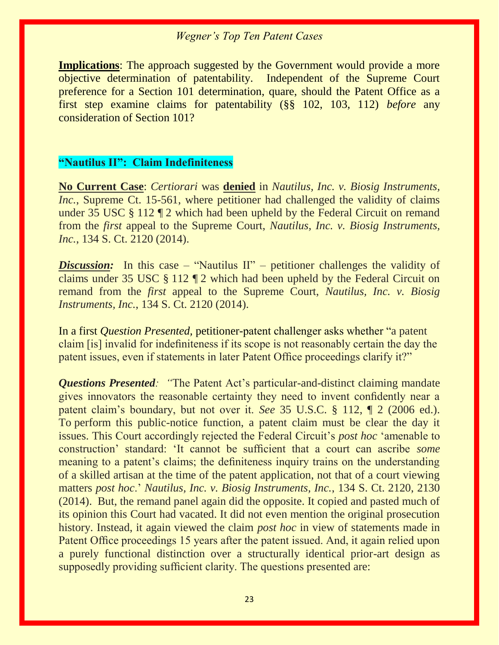**Implications**: The approach suggested by the Government would provide a more objective determination of patentability. Independent of the Supreme Court preference for a Section 101 determination, quare, should the Patent Office as a first step examine claims for patentability (§§ 102, 103, 112) *before* any consideration of Section 101?

# **"Nautilus II": Claim Indefiniteness**

**No Current Case**: *Certiorari* was **denied** in *Nautilus, Inc. v. Biosig Instruments, Inc.*, Supreme Ct. 15-561, where petitioner had challenged the validity of claims under 35 USC § 112 ¶ 2 which had been upheld by the Federal Circuit on remand from the *first* appeal to the Supreme Court, *Nautilus, Inc. v. Biosig Instruments, Inc.*, 134 S. Ct. 2120 (2014).

*Discussion:* In this case – "Nautilus II" – petitioner challenges the validity of claims under 35 USC § 112 ¶ 2 which had been upheld by the Federal Circuit on remand from the *first* appeal to the Supreme Court, *Nautilus, Inc. v. Biosig Instruments, Inc.*, 134 S. Ct. 2120 (2014).

In a first *Question Presented,* petitioner-patent challenger asks whether "a patent claim [is] invalid for indefiniteness if its scope is not reasonably certain the day the patent issues, even if statements in later Patent Office proceedings clarify it?"

*Questions Presented: "*The Patent Act's particular-and-distinct claiming mandate gives innovators the reasonable certainty they need to invent confidently near a patent claim's boundary, but not over it. *See* 35 U.S.C. § 112, ¶ 2 (2006 ed.). To perform this public-notice function, a patent claim must be clear the day it issues. This Court accordingly rejected the Federal Circuit's *post hoc* 'amenable to construction' standard: 'It cannot be sufficient that a court can ascribe *some* meaning to a patent's claims; the definiteness inquiry trains on the understanding of a skilled artisan at the time of the patent application, not that of a court viewing matters *post hoc*.' *Nautilus, Inc. v. Biosig Instruments, Inc.*, 134 S. Ct. 2120, 2130 (2014). But, the remand panel again did the opposite. It copied and pasted much of its opinion this Court had vacated. It did not even mention the original prosecution history. Instead, it again viewed the claim *post hoc* in view of statements made in Patent Office proceedings 15 years after the patent issued. And, it again relied upon a purely functional distinction over a structurally identical prior-art design as supposedly providing sufficient clarity. The questions presented are: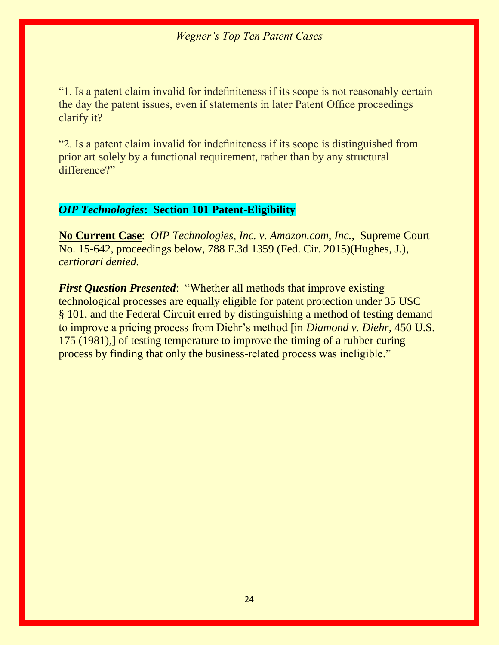"1. Is a patent claim invalid for indefiniteness if its scope is not reasonably certain the day the patent issues, even if statements in later Patent Office proceedings clarify it?

"2. Is a patent claim invalid for indefiniteness if its scope is distinguished from prior art solely by a functional requirement, rather than by any structural difference?"

#### *OIP Technologies***: Section 101 Patent-Eligibility**

**No Current Case**: *OIP Technologies, Inc. v. Amazon.com, Inc.,* Supreme Court No. 15-642, proceedings below, 788 F.3d 1359 (Fed. Cir. 2015)(Hughes, J.), *certiorari denied.*

*First Question Presented*: "Whether all methods that improve existing technological processes are equally eligible for patent protection under 35 USC § 101, and the Federal Circuit erred by distinguishing a method of testing demand to improve a pricing process from Diehr's method [in *Diamond v. Diehr,* 450 U.S. 175 (1981),] of testing temperature to improve the timing of a rubber curing process by finding that only the business-related process was ineligible."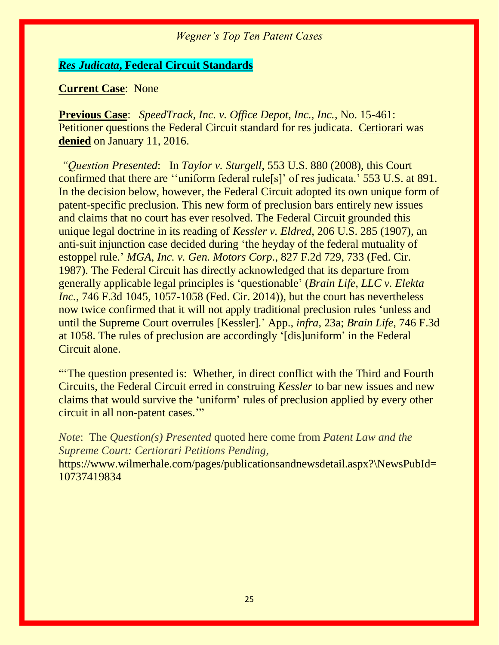#### *Res Judicata***, Federal Circuit Standards**

#### **Current Case**: None

**Previous Case**: *SpeedTrack, Inc. v. Office Depot, Inc., Inc.*, No. 15-461: Petitioner questions the Federal Circuit standard for res judicata. Certiorari was **denied** on January 11, 2016.

*"Question Presented*: In *Taylor v. Sturgell*, 553 U.S. 880 (2008), this Court confirmed that there are ''uniform federal rule[s]' of res judicata.' 553 U.S. at 891. In the decision below, however, the Federal Circuit adopted its own unique form of patent-specific preclusion. This new form of preclusion bars entirely new issues and claims that no court has ever resolved. The Federal Circuit grounded this unique legal doctrine in its reading of *Kessler v. Eldred*, 206 U.S. 285 (1907), an anti-suit injunction case decided during 'the heyday of the federal mutuality of estoppel rule.' *MGA, Inc. v. Gen. Motors Corp.*, 827 F.2d 729, 733 (Fed. Cir. 1987). The Federal Circuit has directly acknowledged that its departure from generally applicable legal principles is 'questionable' (*Brain Life, LLC v. Elekta Inc.*, 746 F.3d 1045, 1057-1058 (Fed. Cir. 2014)), but the court has nevertheless now twice confirmed that it will not apply traditional preclusion rules 'unless and until the Supreme Court overrules [Kessler].' App., *infra*, 23a; *Brain Life*, 746 F.3d at 1058. The rules of preclusion are accordingly '[dis]uniform' in the Federal Circuit alone.

"'The question presented is: Whether, in direct conflict with the Third and Fourth Circuits, the Federal Circuit erred in construing *Kessler* to bar new issues and new claims that would survive the 'uniform' rules of preclusion applied by every other circuit in all non-patent cases.'"

*Note*: The *Question(s) Presented* quoted here come from *Patent Law and the Supreme Court: Certiorari Petitions Pending,*  https://www.wilmerhale.com/pages/publicationsandnewsdetail.aspx?\NewsPubId= 10737419834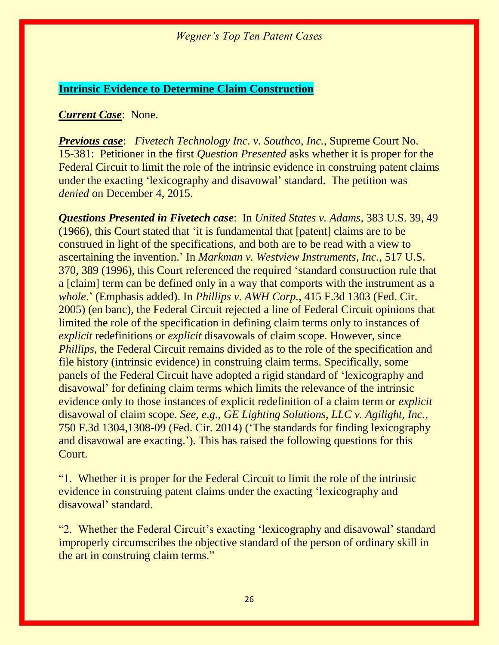#### **Intrinsic Evidence to Determine Claim Construction**

#### *Current Case*: None.

*Previous case*: *Fivetech Technology Inc. v. Southco, Inc.*, Supreme Court No. 15-381: Petitioner in the first *Question Presented* asks whether it is proper for the Federal Circuit to limit the role of the intrinsic evidence in construing patent claims under the exacting 'lexicography and disavowal' standard. The petition was *denied* on December 4, 2015.

*Questions Presented in Fivetech case*: In *United States v. Adams*, 383 U.S. 39, 49 (1966), this Court stated that 'it is fundamental that [patent] claims are to be construed in light of the specifications, and both are to be read with a view to ascertaining the invention.' In *Markman v. Westview Instruments, Inc.*, 517 U.S. 370, 389 (1996), this Court referenced the required 'standard construction rule that a [claim] term can be defined only in a way that comports with the instrument as a *whole*.' (Emphasis added). In *Phillips v. AWH Corp.*, 415 F.3d 1303 (Fed. Cir. 2005) (en banc), the Federal Circuit rejected a line of Federal Circuit opinions that limited the role of the specification in defining claim terms only to instances of *explicit* redefinitions or *explicit* disavowals of claim scope. However, since *Phillips*, the Federal Circuit remains divided as to the role of the specification and file history (intrinsic evidence) in construing claim terms. Specifically, some panels of the Federal Circuit have adopted a rigid standard of 'lexicography and disavowal' for defining claim terms which limits the relevance of the intrinsic evidence only to those instances of explicit redefinition of a claim term or *explicit* disavowal of claim scope. *See, e.g.*, *GE Lighting Solutions, LLC v. Agilight, Inc.*, 750 F.3d 1304,1308-09 (Fed. Cir. 2014) ('The standards for finding lexicography and disavowal are exacting.'). This has raised the following questions for this Court.

"1. Whether it is proper for the Federal Circuit to limit the role of the intrinsic evidence in construing patent claims under the exacting 'lexicography and disavowal' standard.

"2. Whether the Federal Circuit's exacting 'lexicography and disavowal' standard improperly circumscribes the objective standard of the person of ordinary skill in the art in construing claim terms."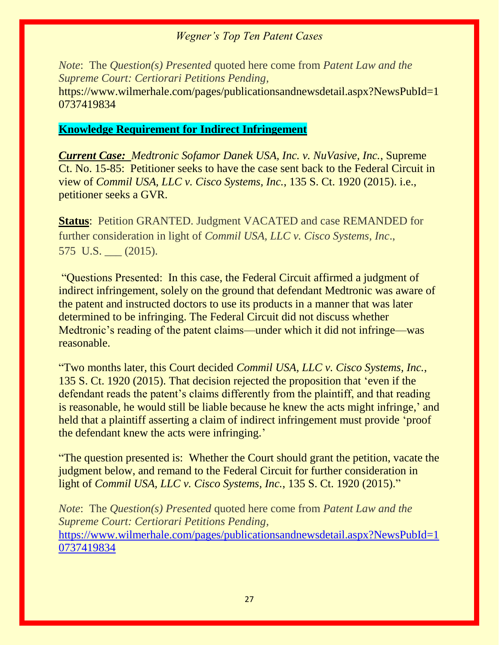*Note*: The *Question(s) Presented* quoted here come from *Patent Law and the Supreme Court: Certiorari Petitions Pending,*  https://www.wilmerhale.com/pages/publicationsandnewsdetail.aspx?NewsPubId=1 0737419834

#### **Knowledge Requirement for Indirect Infringement**

*Current Case: Medtronic Sofamor Danek USA, Inc. v. NuVasive, Inc.*, Supreme Ct. No. 15-85: Petitioner seeks to have the case sent back to the Federal Circuit in view of *Commil USA, LLC v. Cisco Systems, Inc.*, 135 S. Ct. 1920 (2015). i.e., petitioner seeks a GVR.

**Status: Petition GRANTED. Judgment VACATED and case REMANDED for** further consideration in light of *Commil USA, LLC v. Cisco Systems, Inc*., 575 U.S. \_\_\_ (2015).

"Questions Presented: In this case, the Federal Circuit affirmed a judgment of indirect infringement, solely on the ground that defendant Medtronic was aware of the patent and instructed doctors to use its products in a manner that was later determined to be infringing. The Federal Circuit did not discuss whether Medtronic's reading of the patent claims—under which it did not infringe—was reasonable.

"Two months later, this Court decided *Commil USA, LLC v. Cisco Systems, Inc.*, 135 S. Ct. 1920 (2015). That decision rejected the proposition that 'even if the defendant reads the patent's claims differently from the plaintiff, and that reading is reasonable, he would still be liable because he knew the acts might infringe,' and held that a plaintiff asserting a claim of indirect infringement must provide 'proof the defendant knew the acts were infringing.'

"The question presented is: Whether the Court should grant the petition, vacate the judgment below, and remand to the Federal Circuit for further consideration in light of *Commil USA, LLC v. Cisco Systems, Inc.*, 135 S. Ct. 1920 (2015)."

*Note*: The *Question(s) Presented* quoted here come from *Patent Law and the Supreme Court: Certiorari Petitions Pending,*  [https://www.wilmerhale.com/pages/publicationsandnewsdetail.aspx?NewsPubId=1](https://www.wilmerhale.com/pages/publicationsandnewsdetail.aspx?NewsPubId=10737419834) [0737419834](https://www.wilmerhale.com/pages/publicationsandnewsdetail.aspx?NewsPubId=10737419834)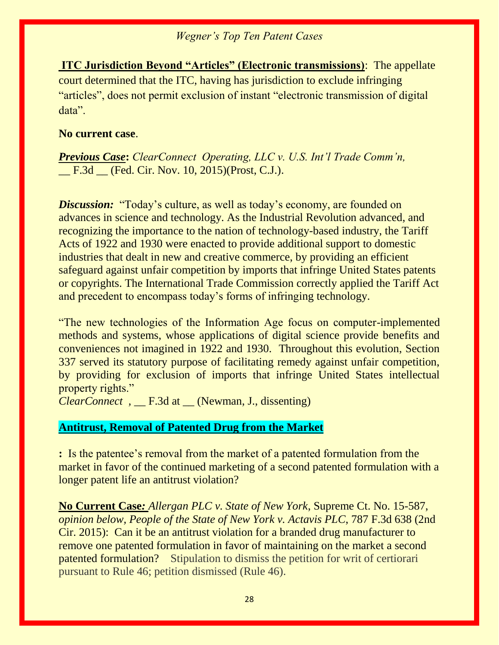**ITC Jurisdiction Beyond "Articles" (Electronic transmissions)**: The appellate court determined that the ITC, having has jurisdiction to exclude infringing "articles", does not permit exclusion of instant "electronic transmission of digital data".

#### **No current case**.

*Previous Case***:** *ClearConnect Operating, LLC v. U.S. Int'l Trade Comm'n,*  \_\_ F.3d \_\_ (Fed. Cir. Nov. 10, 2015)(Prost, C.J.).

*Discussion:* "Today's culture, as well as today's economy, are founded on advances in science and technology. As the Industrial Revolution advanced, and recognizing the importance to the nation of technology-based industry, the Tariff Acts of 1922 and 1930 were enacted to provide additional support to domestic industries that dealt in new and creative commerce, by providing an efficient safeguard against unfair competition by imports that infringe United States patents or copyrights. The International Trade Commission correctly applied the Tariff Act and precedent to encompass today's forms of infringing technology.

"The new technologies of the Information Age focus on computer-implemented methods and systems, whose applications of digital science provide benefits and conveniences not imagined in 1922 and 1930. Throughout this evolution, Section 337 served its statutory purpose of facilitating remedy against unfair competition, by providing for exclusion of imports that infringe United States intellectual property rights."

*ClearConnect ,* \_\_ F.3d at \_\_ (Newman, J., dissenting)

# **Antitrust, Removal of Patented Drug from the Market**

**:** Is the patentee's removal from the market of a patented formulation from the market in favor of the continued marketing of a second patented formulation with a longer patent life an antitrust violation?

**No Current Case***: Allergan PLC v. State of New York*, Supreme Ct. No. 15-587, *opinion below, People of the State of New York v. Actavis PLC*, 787 F.3d 638 (2nd Cir. 2015): Can it be an antitrust violation for a branded drug manufacturer to remove one patented formulation in favor of maintaining on the market a second patented formulation? Stipulation to dismiss the petition for writ of certiorari pursuant to Rule 46; petition dismissed (Rule 46).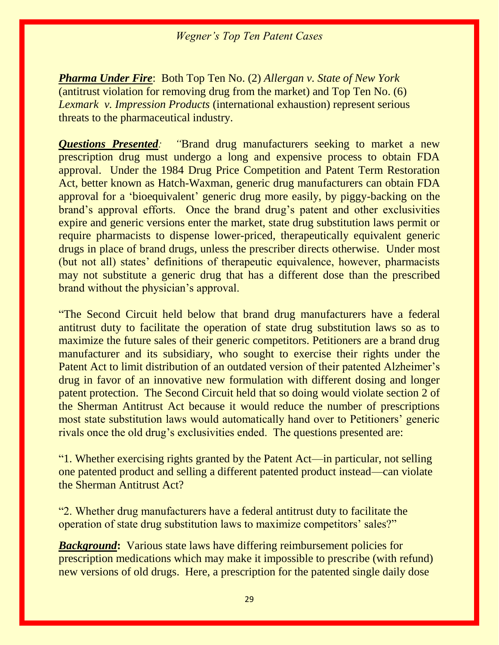*Pharma Under Fire*: Both Top Ten No. (2) *Allergan v. State of New York* (antitrust violation for removing drug from the market) and Top Ten No. (6) *Lexmark v. Impression Products* (international exhaustion) represent serious threats to the pharmaceutical industry.

*Questions Presented: "*Brand drug manufacturers seeking to market a new prescription drug must undergo a long and expensive process to obtain FDA approval. Under the 1984 Drug Price Competition and Patent Term Restoration Act, better known as Hatch-Waxman, generic drug manufacturers can obtain FDA approval for a 'bioequivalent' generic drug more easily, by piggy-backing on the brand's approval efforts. Once the brand drug's patent and other exclusivities expire and generic versions enter the market, state drug substitution laws permit or require pharmacists to dispense lower-priced, therapeutically equivalent generic drugs in place of brand drugs, unless the prescriber directs otherwise. Under most (but not all) states' definitions of therapeutic equivalence, however, pharmacists may not substitute a generic drug that has a different dose than the prescribed brand without the physician's approval.

"The Second Circuit held below that brand drug manufacturers have a federal antitrust duty to facilitate the operation of state drug substitution laws so as to maximize the future sales of their generic competitors. Petitioners are a brand drug manufacturer and its subsidiary, who sought to exercise their rights under the Patent Act to limit distribution of an outdated version of their patented Alzheimer's drug in favor of an innovative new formulation with different dosing and longer patent protection. The Second Circuit held that so doing would violate section 2 of the Sherman Antitrust Act because it would reduce the number of prescriptions most state substitution laws would automatically hand over to Petitioners' generic rivals once the old drug's exclusivities ended. The questions presented are:

"1. Whether exercising rights granted by the Patent Act—in particular, not selling one patented product and selling a different patented product instead—can violate the Sherman Antitrust Act?

"2. Whether drug manufacturers have a federal antitrust duty to facilitate the operation of state drug substitution laws to maximize competitors' sales?"

*Background***:** Various state laws have differing reimbursement policies for prescription medications which may make it impossible to prescribe (with refund) new versions of old drugs. Here, a prescription for the patented single daily dose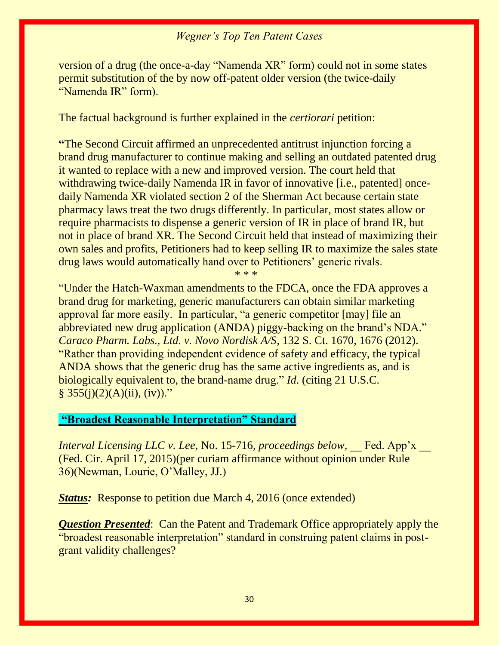version of a drug (the once-a-day "Namenda XR" form) could not in some states permit substitution of the by now off-patent older version (the twice-daily "Namenda IR" form).

The factual background is further explained in the *certiorari* petition:

**"**The Second Circuit affirmed an unprecedented antitrust injunction forcing a brand drug manufacturer to continue making and selling an outdated patented drug it wanted to replace with a new and improved version. The court held that withdrawing twice-daily Namenda IR in favor of innovative [i.e., patented] oncedaily Namenda XR violated section 2 of the Sherman Act because certain state pharmacy laws treat the two drugs differently. In particular, most states allow or require pharmacists to dispense a generic version of IR in place of brand IR, but not in place of brand XR. The Second Circuit held that instead of maximizing their own sales and profits, Petitioners had to keep selling IR to maximize the sales state drug laws would automatically hand over to Petitioners' generic rivals.

\* \* \*

"Under the Hatch-Waxman amendments to the FDCA, once the FDA approves a brand drug for marketing, generic manufacturers can obtain similar marketing approval far more easily. In particular, "a generic competitor [may] file an abbreviated new drug application (ANDA) piggy-backing on the brand's NDA." *Caraco Pharm. Labs., Ltd. v. Novo Nordisk A/S*, 132 S. Ct. 1670, 1676 (2012). "Rather than providing independent evidence of safety and efficacy, the typical ANDA shows that the generic drug has the same active ingredients as, and is biologically equivalent to, the brand-name drug." *Id*. (citing 21 U.S.C.  $§ 355(j)(2)(A)(ii), (iv))."$ 

#### **"Broadest Reasonable Interpretation" Standard**

*Interval Licensing LLC v. Lee, No. 15-716, proceedings below,* Fed. App'x \_\_ (Fed. Cir. April 17, 2015)(per curiam affirmance without opinion under Rule 36)(Newman, Lourie, O'Malley, JJ.)

*Status:* Response to petition due March 4, 2016 (once extended)

*Question Presented*: Can the Patent and Trademark Office appropriately apply the "broadest reasonable interpretation" standard in construing patent claims in postgrant validity challenges?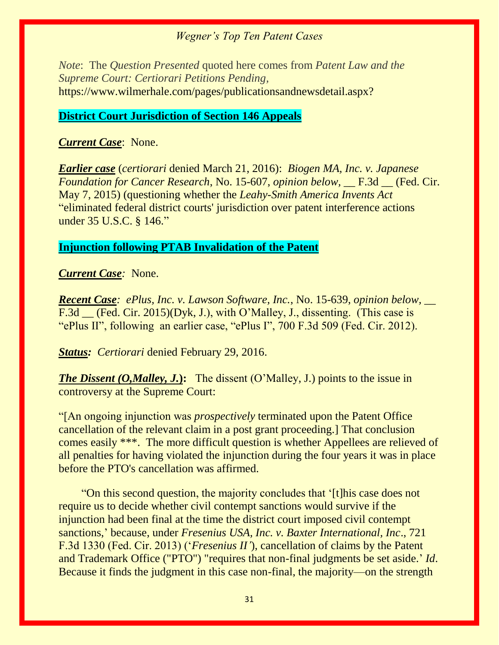*Note*: The *Question Presented* quoted here comes from *Patent Law and the Supreme Court: Certiorari Petitions Pending,*  https://www.wilmerhale.com/pages/publicationsandnewsdetail.aspx?

#### **District Court Jurisdiction of Section 146 Appeals**

#### *Current Case*: None.

*Earlier case* (*certiorari* denied March 21, 2016): *Biogen MA, Inc. v. Japanese Foundation for Cancer Research*, No. 15-607, *opinion below,* \_\_ F.3d \_\_ (Fed. Cir. May 7, 2015) (questioning whether the *Leahy-Smith America Invents Act* "eliminated federal district courts' jurisdiction over patent interference actions under 35 U.S.C. § 146."

#### **Injunction following PTAB Invalidation of the Patent**

#### *Current Case:* None.

*Recent Case: ePlus, Inc. v. Lawson Software, Inc.*, No. 15-639, *opinion below, \_\_*  F.3d \_\_ (Fed. Cir. 2015)(Dyk, J.), with O'Malley, J., dissenting. (This case is "ePlus II", following an earlier case, "ePlus I", 700 F.3d 509 (Fed. Cir. 2012).

*Status: Certiorari denied February 29, 2016.* 

*The Dissent (O,Malley, J.*): The dissent (O'Malley, J.) points to the issue in controversy at the Supreme Court:

"[An ongoing injunction was *prospectively* terminated upon the Patent Office cancellation of the relevant claim in a post grant proceeding.] That conclusion comes easily \*\*\*. The more difficult question is whether Appellees are relieved of all penalties for having violated the injunction during the four years it was in place before the PTO's cancellation was affirmed.

 "On this second question, the majority concludes that '[t]his case does not require us to decide whether civil contempt sanctions would survive if the injunction had been final at the time the district court imposed civil contempt sanctions,' because, under *Fresenius USA, Inc. v. Baxter International, Inc*., 721 F.3d 1330 (Fed. Cir. 2013) ('*Fresenius II'*), cancellation of claims by the Patent and Trademark Office ("PTO") "requires that non-final judgments be set aside.' *Id*. Because it finds the judgment in this case non-final, the majority—on the strength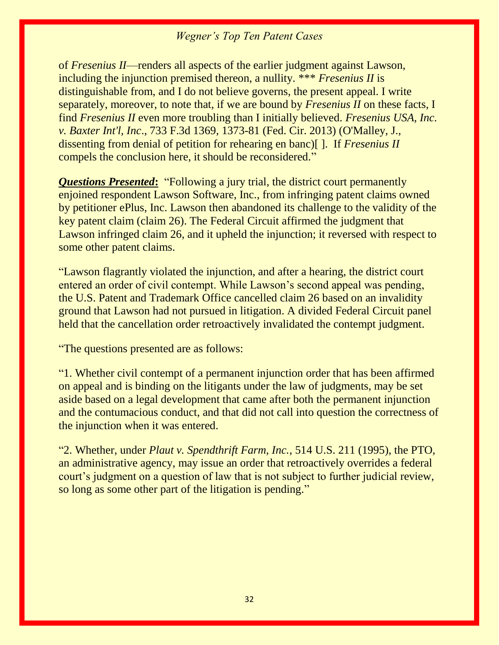of *Fresenius II*—renders all aspects of the earlier judgment against Lawson, including the injunction premised thereon, a nullity. \*\*\* *Fresenius II* is distinguishable from, and I do not believe governs, the present appeal. I write separately, moreover, to note that, if we are bound by *Fresenius II* on these facts, I find *Fresenius II* even more troubling than I initially believed. *Fresenius USA, Inc. v. Baxter Int'l, Inc*., 733 F.3d 1369, 1373-81 (Fed. Cir. 2013) (O'Malley, J., dissenting from denial of petition for rehearing en banc)[ ]. If *Fresenius II* compels the conclusion here, it should be reconsidered."

*Questions Presented***:** "Following a jury trial, the district court permanently enjoined respondent Lawson Software, Inc., from infringing patent claims owned by petitioner ePlus, Inc. Lawson then abandoned its challenge to the validity of the key patent claim (claim 26). The Federal Circuit affirmed the judgment that Lawson infringed claim 26, and it upheld the injunction; it reversed with respect to some other patent claims.

"Lawson flagrantly violated the injunction, and after a hearing, the district court entered an order of civil contempt. While Lawson's second appeal was pending, the U.S. Patent and Trademark Office cancelled claim 26 based on an invalidity ground that Lawson had not pursued in litigation. A divided Federal Circuit panel held that the cancellation order retroactively invalidated the contempt judgment.

"The questions presented are as follows:

"1. Whether civil contempt of a permanent injunction order that has been affirmed on appeal and is binding on the litigants under the law of judgments, may be set aside based on a legal development that came after both the permanent injunction and the contumacious conduct, and that did not call into question the correctness of the injunction when it was entered.

"2. Whether, under *Plaut v. Spendthrift Farm, Inc.*, 514 U.S. 211 (1995), the PTO, an administrative agency, may issue an order that retroactively overrides a federal court's judgment on a question of law that is not subject to further judicial review, so long as some other part of the litigation is pending."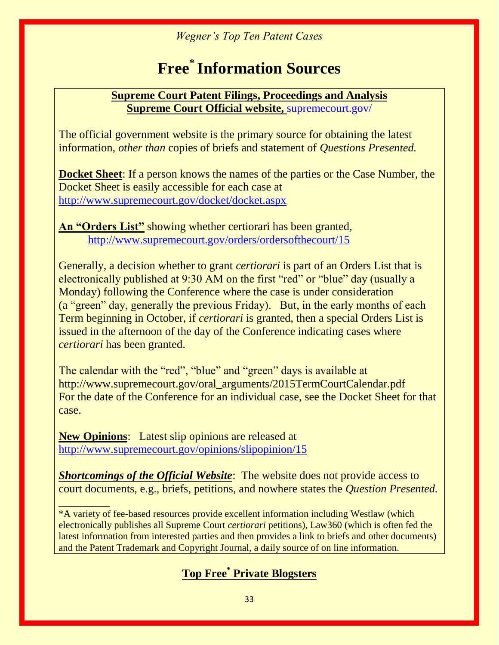# **Free\* Information Sources**

# **Supreme Court Patent Filings, Proceedings and Analysis Supreme Court Official website,** supremecourt.gov/

The official government website is the primary source for obtaining the latest information, *other than* copies of briefs and statement of *Questions Presented.*

**Docket Sheet**: If a person knows the names of the parties or the Case Number, the Docket Sheet is easily accessible for each case at <http://www.supremecourt.gov/docket/docket.aspx>

**An "Orders List"** showing whether certiorari has been granted, <http://www.supremecourt.gov/orders/ordersofthecourt/15>

Generally, a decision whether to grant *certiorari* is part of an Orders List that is electronically published at 9:30 AM on the first "red" or "blue" day (usually a Monday) following the Conference where the case is under consideration (a "green" day, generally the previous Friday). But, in the early months of each Term beginning in October, if *certiorari* is granted, then a special Orders List is issued in the afternoon of the day of the Conference indicating cases where *certiorari* has been granted.

The calendar with the "red", "blue" and "green" days is available at http://www.supremecourt.gov/oral\_arguments/2015TermCourtCalendar.pdf For the date of the Conference for an individual case, see the Docket Sheet for that case.

**New Opinions**: Latest slip opinions are released at <http://www.supremecourt.gov/opinions/slipopinion/15>

**Shortcomings of the Official Website**: The website does not provide access to court documents, e.g., briefs, petitions, and nowhere states the *Question Presented.*

*\_\_\_\_\_\_\_\_\_* \*A variety of fee-based resources provide excellent information including Westlaw (which electronically publishes all Supreme Court *certiorari* petitions), Law360 (which is often fed the latest information from interested parties and then provides a link to briefs and other documents) and the Patent Trademark and Copyright Journal, a daily source of on line information.

# **Top Free\* Private Blogsters**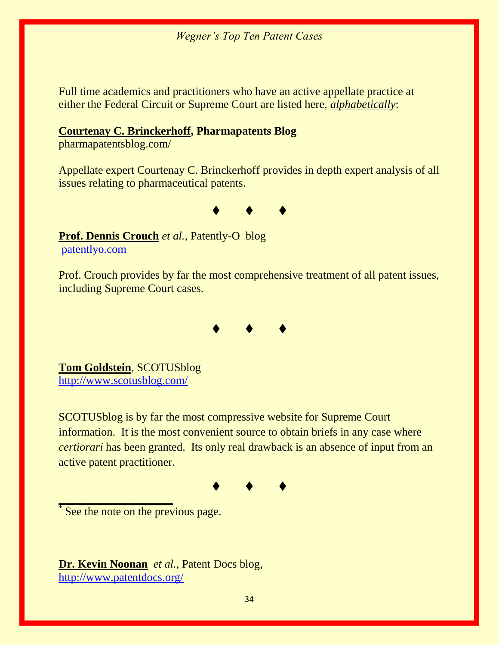Full time academics and practitioners who have an active appellate practice at either the Federal Circuit or Supreme Court are listed here, *alphabetically*:

#### **Courtenay [C. Brinckerhoff,](http://www.foley.com/courtenay-c-brinckerhoff/) Pharmapatents Blog**

pharmapatentsblog.com/

Appellate expert Courtenay C. Brinckerhoff provides in depth expert analysis of all issues relating to pharmaceutical patents.



**Prof. Dennis Crouch** *et al.*, Patently-O blog patentlyo.com

Prof. Crouch provides by far the most comprehensive treatment of all patent issues, including Supreme Court cases.



**Tom Goldstein**, SCOTUSblog <http://www.scotusblog.com/>

SCOTUSblog is by far the most compressive website for Supreme Court information. It is the most convenient source to obtain briefs in any case where *certiorari* has been granted. Its only real drawback is an absence of input from an active patent practitioner.

♦♦♦

\* See the note on the previous page.

**\_\_\_\_\_\_\_\_\_\_\_\_\_\_\_\_\_\_\_\_**

**Dr. Kevin Noonan** *et al.*, Patent Docs blog, <http://www.patentdocs.org/>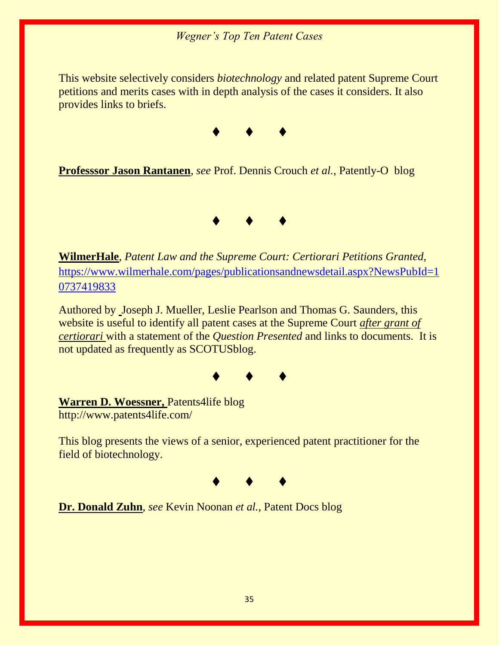This website selectively considers *biotechnology* and related patent Supreme Court petitions and merits cases with in depth analysis of the cases it considers. It also provides links to briefs.



**Professsor Jason Rantanen**, *see* Prof. Dennis Crouch *et al.*, Patently-O blog



**WilmerHale**, *Patent Law and the Supreme Court: Certiorari Petitions Granted,* [https://www.wilmerhale.com/pages/publicationsandnewsdetail.aspx?NewsPubId=1](https://www.wilmerhale.com/pages/publicationsandnewsdetail.aspx?NewsPubId=10737419833) [0737419833](https://www.wilmerhale.com/pages/publicationsandnewsdetail.aspx?NewsPubId=10737419833)

Authored by Joseph J. Mueller, Leslie Pearlson and Thomas G. Saunders, this website is useful to identify all patent cases at the Supreme Court *after grant of certiorari* with a statement of the *Question Presented* and links to documents. It is not updated as frequently as SCOTUSblog.



**Warren D. Woessner,** Patents4life blog http://www.patents4life.com/

This blog presents the views of a senior, experienced patent practitioner for the field of biotechnology.



**Dr. Donald Zuhn**, *see* Kevin Noonan *et al.,* Patent Docs blog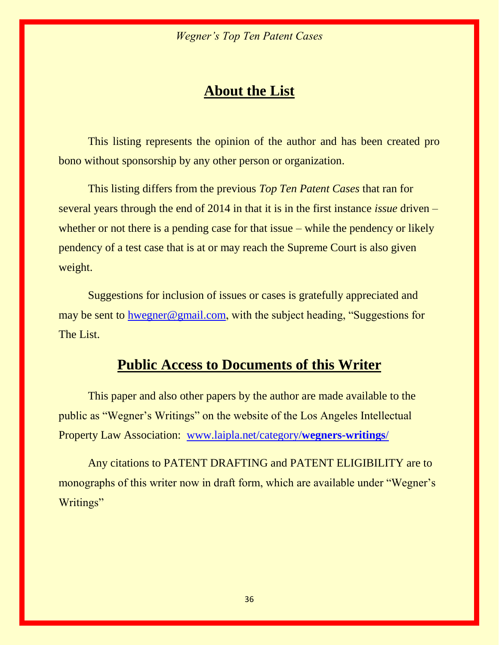# **About the List**

This listing represents the opinion of the author and has been created pro bono without sponsorship by any other person or organization.

This listing differs from the previous *Top Ten Patent Cases* that ran for several years through the end of 2014 in that it is in the first instance *issue* driven – whether or not there is a pending case for that issue – while the pendency or likely pendency of a test case that is at or may reach the Supreme Court is also given weight.

Suggestions for inclusion of issues or cases is gratefully appreciated and may be sent to [hwegner@gmail.com](mailto:hwegner@gmail.com), with the subject heading, "Suggestions for The List.

# **Public Access to Documents of this Writer**

This paper and also other papers by the author are made available to the public as "Wegner's Writings" on the website of the Los Angeles Intellectual Property Law Association: [www.laipla.net/category/](http://www.laipla.net/category/wegners-writings/)**wegners-writings**/

Any citations to PATENT DRAFTING and PATENT ELIGIBILITY are to monographs of this writer now in draft form, which are available under "Wegner's Writings"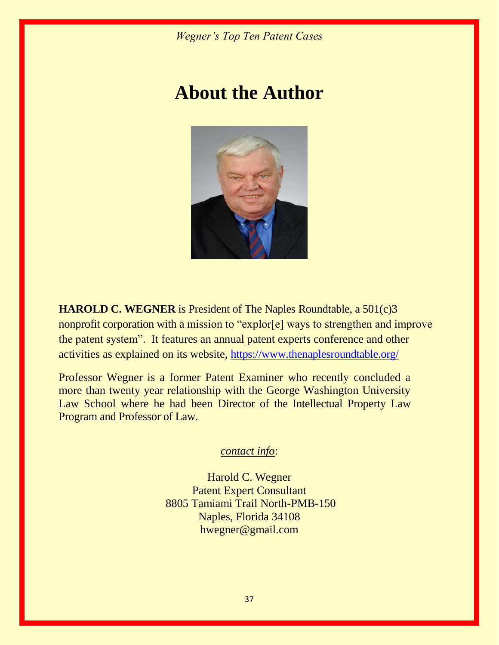# **About the Author**



**HAROLD C. WEGNER** is President of The Naples Roundtable, a 501(c)3 nonprofit corporation with a mission to "explor[e] ways to strengthen and improve the patent system". It features an annual patent experts conference and other activities as explained on its website, <https://www.thenaplesroundtable.org/>

Professor Wegner is a former Patent Examiner who recently concluded a more than twenty year relationship with the George Washington University Law School where he had been Director of the Intellectual Property Law Program and Professor of Law.

*contact info*:

Harold C. Wegner Patent Expert Consultant 8805 Tamiami Trail North-PMB-150 Naples, Florida 34108 hwegner@gmail.com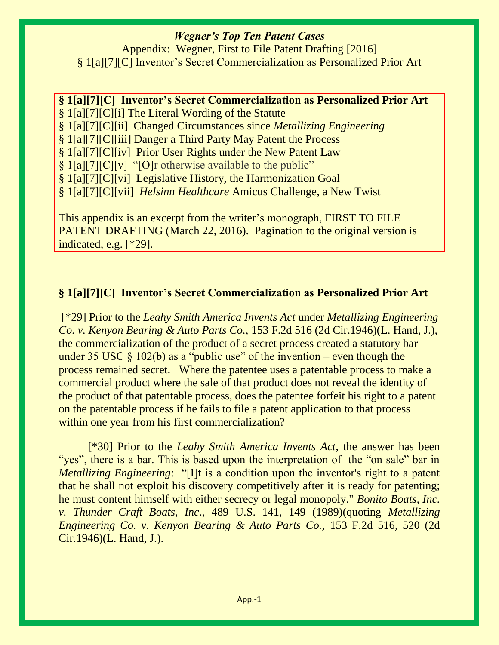Appendix: Wegner, First to File Patent Drafting [2016] § 1[a][7][C] Inventor's Secret Commercialization as Personalized Prior Art

#### **§ 1[a][7][C] Inventor's Secret Commercialization as Personalized Prior Art**

§ 1[a][7][C][i] The Literal Wording of the Statute

§ 1[a][7][C][ii] Changed Circumstances since *Metallizing Engineering* 

§ 1[a][7][C][iii] Danger a Third Party May Patent the Process

§ 1[a][7][C][iv] Prior User Rights under the New Patent Law

§ 1[a][7][C][v] "[O]r otherwise available to the public"

§ 1[a][7][C][vi] Legislative History, the Harmonization Goal

§ 1[a][7][C][vii] *Helsinn Healthcare* Amicus Challenge, a New Twist

This appendix is an excerpt from the writer's monograph, FIRST TO FILE PATENT DRAFTING (March 22, 2016). Pagination to the original version is indicated, e.g. [\*29].

# **§ 1[a][7][C] Inventor's Secret Commercialization as Personalized Prior Art**

[\*29] Prior to the *Leahy Smith America Invents Act* under *Metallizing Engineering Co. v. Kenyon Bearing & Auto Parts Co.,* 153 F.2d 516 (2d Cir.1946)(L. Hand, J.), the commercialization of the product of a secret process created a statutory bar under 35 USC  $\S$  102(b) as a "public use" of the invention – even though the process remained secret. Where the patentee uses a patentable process to make a commercial product where the sale of that product does not reveal the identity of the product of that patentable process, does the patentee forfeit his right to a patent on the patentable process if he fails to file a patent application to that process within one year from his first commercialization?

[\*30] Prior to the *Leahy Smith America Invents Act*, the answer has been "yes", there is a bar. This is based upon the interpretation of the "on sale" bar in *Metallizing Engineering*: "[I]t is a condition upon the inventor's right to a patent that he shall not exploit his discovery competitively after it is ready for patenting; he must content himself with either secrecy or legal monopoly." *Bonito Boats, Inc. v. Thunder Craft Boats, Inc*., 489 U.S. 141, 149 (1989)(quoting *Metallizing Engineering Co. v. Kenyon Bearing & Auto Parts Co.,* 153 F.2d 516, 520 (2d Cir.1946)(L. Hand, J.).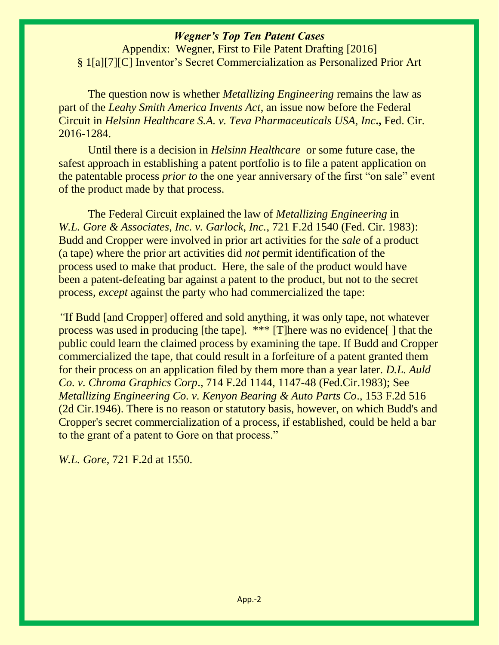Appendix: Wegner, First to File Patent Drafting [2016] § 1[a][7][C] Inventor's Secret Commercialization as Personalized Prior Art

The question now is whether *Metallizing Engineering* remains the law as part of the *Leahy Smith America Invents Act*, an issue now before the Federal Circuit in *Helsinn Healthcare S.A. v. Teva Pharmaceuticals USA, Inc***.,** Fed. Cir. 2016-1284.

Until there is a decision in *Helsinn Healthcare* or some future case, the safest approach in establishing a patent portfolio is to file a patent application on the patentable process *prior to* the one year anniversary of the first "on sale" event of the product made by that process.

The Federal Circuit explained the law of *Metallizing Engineering* in *W.L. Gore & Associates, Inc. v. Garlock, Inc.*, 721 F.2d 1540 (Fed. Cir. 1983): Budd and Cropper were involved in prior art activities for the *sale* of a product (a tape) where the prior art activities did *not* permit identification of the process used to make that product. Here, the sale of the product would have been a patent-defeating bar against a patent to the product, but not to the secret process, *except* against the party who had commercialized the tape:

*"*If Budd [and Cropper] offered and sold anything, it was only tape, not whatever process was used in producing [the tape]. \*\*\* [T]here was no evidence[ ] that the public could learn the claimed process by examining the tape. If Budd and Cropper commercialized the tape, that could result in a forfeiture of a patent granted them for their process on an application filed by them more than a year later. *D.L. Auld Co. v. Chroma Graphics Corp*., 714 F.2d 1144, 1147-48 (Fed.Cir.1983); See *Metallizing Engineering Co. v. Kenyon Bearing & Auto Parts Co*., 153 F.2d 516 (2d Cir.1946). There is no reason or statutory basis, however, on which Budd's and Cropper's secret commercialization of a process, if established, could be held a bar to the grant of a patent to Gore on that process."

*W.L. Gore*, 721 F.2d at 1550.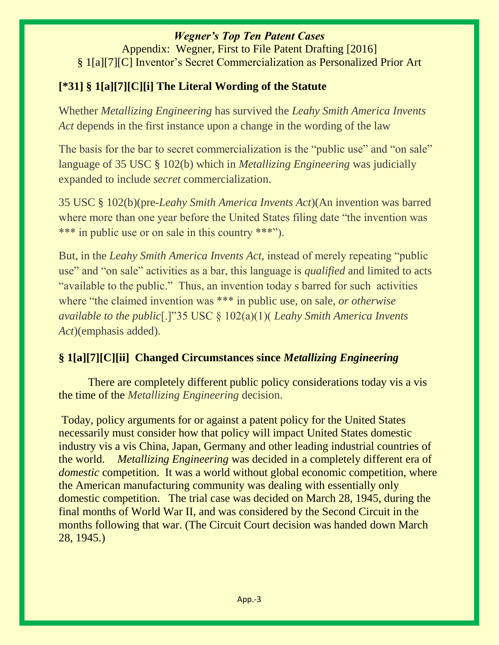Appendix: Wegner, First to File Patent Drafting [2016] § 1[a][7][C] Inventor's Secret Commercialization as Personalized Prior Art

# **[\*31] § 1[a][7][C][i] The Literal Wording of the Statute**

Whether *Metallizing Engineering* has survived the *Leahy Smith America Invents Act* depends in the first instance upon a change in the wording of the law

The basis for the bar to secret commercialization is the "public use" and "on sale" language of 35 USC § 102(b) which in *Metallizing Engineering* was judicially expanded to include *secret* commercialization.

35 USC § 102(b)(pre-*Leahy Smith America Invents Act*)(An invention was barred where more than one year before the United States filing date "the invention was \*\*\* in public use or on sale in this country \*\*\*").

But, in the *Leahy Smith America Invents Act,* instead of merely repeating "public use" and "on sale" activities as a bar, this language is *qualified* and limited to acts "available to the public." Thus, an invention today s barred for such activities where "the claimed invention was \*\*\* in public use, on sale, *or otherwise available to the public*[.]"35 USC § 102(a)(1)( *Leahy Smith America Invents Act*)(emphasis added).

# **§ 1[a][7][C][ii] Changed Circumstances since** *Metallizing Engineering*

There are completely different public policy considerations today vis a vis the time of the *Metallizing Engineering* decision.

Today, policy arguments for or against a patent policy for the United States necessarily must consider how that policy will impact United States domestic industry vis a vis China, Japan, Germany and other leading industrial countries of the world. *Metallizing Engineering* was decided in a completely different era of *domestic* competition. It was a world without global economic competition, where the American manufacturing community was dealing with essentially only domestic competition. The trial case was decided on March 28, 1945, during the final months of World War II, and was considered by the Second Circuit in the months following that war. (The Circuit Court decision was handed down March 28, 1945.)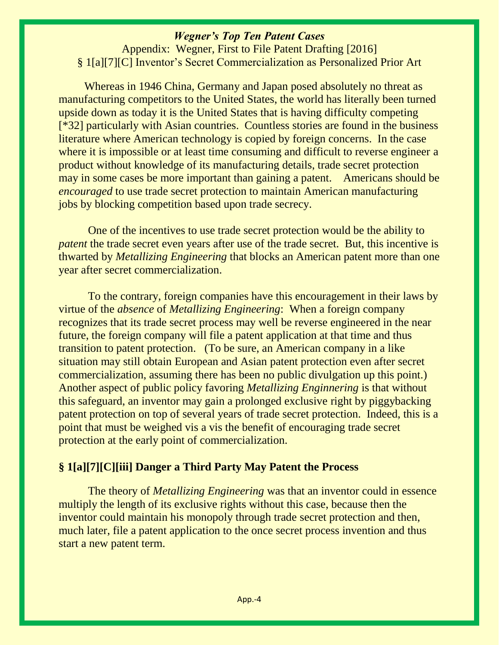Appendix: Wegner, First to File Patent Drafting [2016] § 1[a][7][C] Inventor's Secret Commercialization as Personalized Prior Art

 Whereas in 1946 China, Germany and Japan posed absolutely no threat as manufacturing competitors to the United States, the world has literally been turned upside down as today it is the United States that is having difficulty competing [\*32] particularly with Asian countries. Countless stories are found in the business literature where American technology is copied by foreign concerns. In the case where it is impossible or at least time consuming and difficult to reverse engineer a product without knowledge of its manufacturing details, trade secret protection may in some cases be more important than gaining a patent. Americans should be *encouraged* to use trade secret protection to maintain American manufacturing jobs by blocking competition based upon trade secrecy.

One of the incentives to use trade secret protection would be the ability to *patent* the trade secret even years after use of the trade secret. But, this incentive is thwarted by *Metallizing Engineering* that blocks an American patent more than one year after secret commercialization.

To the contrary, foreign companies have this encouragement in their laws by virtue of the *absence* of *Metallizing Engineering*: When a foreign company recognizes that its trade secret process may well be reverse engineered in the near future, the foreign company will file a patent application at that time and thus transition to patent protection. (To be sure, an American company in a like situation may still obtain European and Asian patent protection even after secret commercialization, assuming there has been no public divulgation up this point.) Another aspect of public policy favoring *Metallizing Enginnering* is that without this safeguard, an inventor may gain a prolonged exclusive right by piggybacking patent protection on top of several years of trade secret protection. Indeed, this is a point that must be weighed vis a vis the benefit of encouraging trade secret protection at the early point of commercialization.

#### **§ 1[a][7][C][iii] Danger a Third Party May Patent the Process**

The theory of *Metallizing Engineering* was that an inventor could in essence multiply the length of its exclusive rights without this case, because then the inventor could maintain his monopoly through trade secret protection and then, much later, file a patent application to the once secret process invention and thus start a new patent term.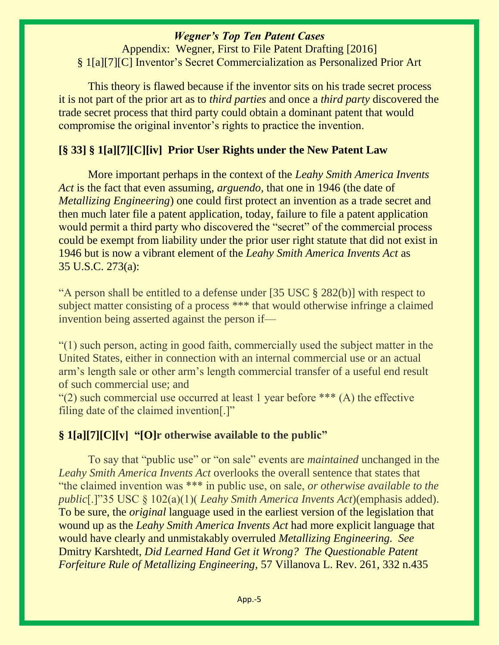Appendix: Wegner, First to File Patent Drafting [2016] § 1[a][7][C] Inventor's Secret Commercialization as Personalized Prior Art

This theory is flawed because if the inventor sits on his trade secret process it is not part of the prior art as to *third parties* and once a *third party* discovered the trade secret process that third party could obtain a dominant patent that would compromise the original inventor's rights to practice the invention.

# **[§ 33] § 1[a][7][C][iv] Prior User Rights under the New Patent Law**

More important perhaps in the context of the *Leahy Smith America Invents Act* is the fact that even assuming, *arguendo,* that one in 1946 (the date of *Metallizing Engineering*) one could first protect an invention as a trade secret and then much later file a patent application, today, failure to file a patent application would permit a third party who discovered the "secret" of the commercial process could be exempt from liability under the prior user right statute that did not exist in 1946 but is now a vibrant element of the *Leahy Smith America Invents Act* as 35 U.S.C. 273(a):

"A person shall be entitled to a defense under [35 USC § 282(b)] with respect to subject matter consisting of a process \*\*\* that would otherwise infringe a claimed invention being asserted against the person if—

"(1) such person, acting in good faith, commercially used the subject matter in the United States, either in connection with an internal commercial use or an actual arm's length sale or other arm's length commercial transfer of a useful end result of such commercial use; and

"(2) such commercial use occurred at least 1 year before  $***$  (A) the effective filing date of the claimed invention[.]"

# **§ 1[a][7][C][v] "[O]r otherwise available to the public"**

To say that "public use" or "on sale" events are *maintained* unchanged in the *Leahy Smith America Invents Act* overlooks the overall sentence that states that "the claimed invention was \*\*\* in public use, on sale, *or otherwise available to the public*[.]"35 USC § 102(a)(1)( *Leahy Smith America Invents Act*)(emphasis added). To be sure, the *original* language used in the earliest version of the legislation that wound up as the *Leahy Smith America Invents Act* had more explicit language that would have clearly and unmistakably overruled *Metallizing Engineering. See*  Dmitry Karshtedt, *Did Learned Hand Get it Wrong? The Questionable Patent Forfeiture Rule of Metallizing Engineering,* 57 Villanova L. Rev. 261, 332 n.435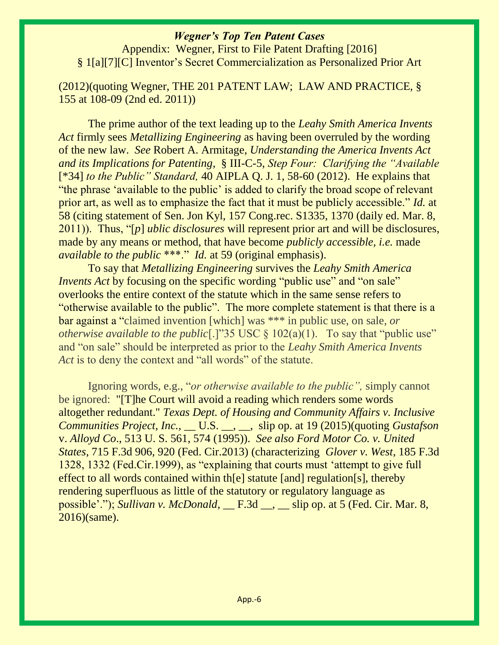Appendix: Wegner, First to File Patent Drafting [2016] § 1[a][7][C] Inventor's Secret Commercialization as Personalized Prior Art

(2012)(quoting Wegner, THE 201 PATENT LAW; LAW AND PRACTICE, § 155 at 108-09 (2nd ed. 2011))

The prime author of the text leading up to the *Leahy Smith America Invents Act* firmly sees *Metallizing Engineering* as having been overruled by the wording of the new law. *See* Robert A. Armitage, *Understanding the America Invents Act and its Implications for Patenting*, § III-C-5, *Step Four: Clarifying the "Available*  [\*34] *to the Public" Standard,* 40 AIPLA Q. J. 1, 58-60 (2012). He explains that "the phrase 'available to the public' is added to clarify the broad scope of relevant prior art, as well as to emphasize the fact that it must be publicly accessible." *Id.* at 58 (citing statement of Sen. Jon Kyl, 157 Cong.rec. S1335, 1370 (daily ed. Mar. 8, 2011)). Thus, "[*p*] *ublic disclosures* will represent prior art and will be disclosures, made by any means or method, that have become *publicly accessible, i.e.* made *available to the public* \*\*\*." *Id.* at 59 (original emphasis).

To say that *Metallizing Engineering* survives the *Leahy Smith America Invents Act* by focusing on the specific wording "public use" and "on sale" overlooks the entire context of the statute which in the same sense refers to "otherwise available to the public". The more complete statement is that there is a bar against a "claimed invention [which] was \*\*\* in public use, on sale, *or otherwise available to the public*<sup>[1]</sup>"35 USC § 102(a)(1). To say that "public use" and "on sale" should be interpreted as prior to the *Leahy Smith America Invents Act* is to deny the context and "all words" of the statute.

Ignoring words, e.g., "*or otherwise available to the public",* simply cannot be ignored: "[T]he Court will avoid a reading which renders some words altogether redundant." *Texas Dept. of Housing and Community Affairs v. Inclusive Communities Project, Inc.,* \_\_ U.S. \_\_, \_\_, slip op. at 19 (2015)(quoting *Gustafson* v. *Alloyd Co*., 513 U. S. 561, 574 (1995)). *See also Ford Motor Co. v. United States*, 715 F.3d 906, 920 (Fed. Cir.2013) (characterizing *Glover v. West*, 185 F.3d 1328, 1332 (Fed.Cir.1999), as "explaining that courts must 'attempt to give full effect to all words contained within th[e] statute [and] regulation[s], thereby rendering superfluous as little of the statutory or regulatory language as possible'."); *Sullivan v. McDonald*, F.3d , slip op. at 5 (Fed. Cir. Mar. 8, 2016)(same).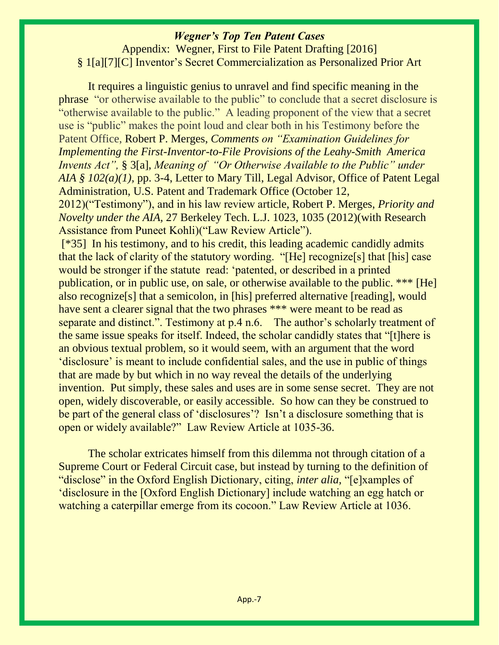Appendix: Wegner, First to File Patent Drafting [2016] § 1[a][7][C] Inventor's Secret Commercialization as Personalized Prior Art

It requires a linguistic genius to unravel and find specific meaning in the phrase "or otherwise available to the public" to conclude that a secret disclosure is "otherwise available to the public." A leading proponent of the view that a secret use is "public" makes the point loud and clear both in his Testimony before the Patent Office, Robert P. Merges, *Comments on "Examination Guidelines for Implementing the First-Inventor-to-File Provisions of the Leahy-Smith America Invents Act",* § 3[a], *Meaning of "Or Otherwise Available to the Public" under AIA* § 102(*a*)(1), pp. 3-4, Letter to Mary Till, Legal Advisor, Office of Patent Legal Administration, U.S. Patent and Trademark Office (October 12, 2012)("Testimony"), and in his law review article, Robert P. Merges, *Priority and Novelty under the AIA,* 27 Berkeley Tech. L.J. 1023, 1035 (2012)(with Research Assistance from Puneet Kohli)("Law Review Article"). [\*35] In his testimony, and to his credit, this leading academic candidly admits

that the lack of clarity of the statutory wording. "[He] recognize[s] that [his] case would be stronger if the statute read: 'patented, or described in a printed publication, or in public use, on sale, or otherwise available to the public. \*\*\* [He] also recognize[s] that a semicolon, in [his] preferred alternative [reading], would have sent a clearer signal that the two phrases \*\*\* were meant to be read as separate and distinct.". Testimony at p.4 n.6. The author's scholarly treatment of the same issue speaks for itself. Indeed, the scholar candidly states that "[t]here is an obvious textual problem, so it would seem, with an argument that the word 'disclosure' is meant to include confidential sales, and the use in public of things that are made by but which in no way reveal the details of the underlying invention. Put simply, these sales and uses are in some sense secret. They are not open, widely discoverable, or easily accessible. So how can they be construed to be part of the general class of 'disclosures'? Isn't a disclosure something that is open or widely available?" Law Review Article at 1035-36.

The scholar extricates himself from this dilemma not through citation of a Supreme Court or Federal Circuit case, but instead by turning to the definition of "disclose" in the Oxford English Dictionary, citing, *inter alia,* "[e]xamples of 'disclosure in the [Oxford English Dictionary] include watching an egg hatch or watching a caterpillar emerge from its cocoon." Law Review Article at 1036.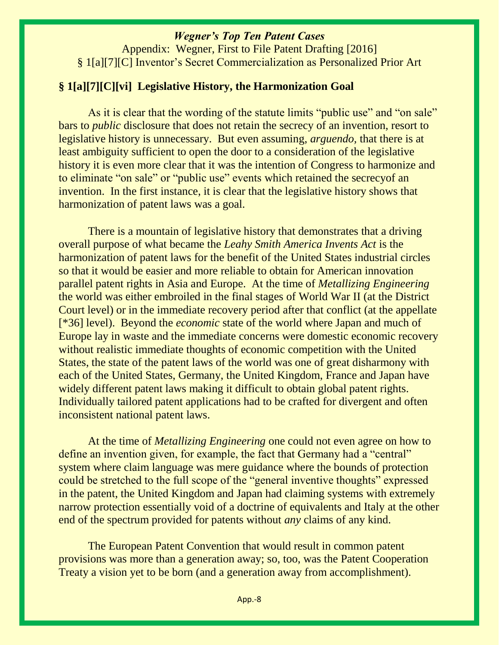Appendix: Wegner, First to File Patent Drafting [2016] § 1[a][7][C] Inventor's Secret Commercialization as Personalized Prior Art

#### **§ 1[a][7][C][vi] Legislative History, the Harmonization Goal**

As it is clear that the wording of the statute limits "public use" and "on sale" bars to *public* disclosure that does not retain the secrecy of an invention, resort to legislative history is unnecessary. But even assuming, *arguendo,* that there is at least ambiguity sufficient to open the door to a consideration of the legislative history it is even more clear that it was the intention of Congress to harmonize and to eliminate "on sale" or "public use" events which retained the secrecyof an invention. In the first instance, it is clear that the legislative history shows that harmonization of patent laws was a goal.

There is a mountain of legislative history that demonstrates that a driving overall purpose of what became the *Leahy Smith America Invents Act* is the harmonization of patent laws for the benefit of the United States industrial circles so that it would be easier and more reliable to obtain for American innovation parallel patent rights in Asia and Europe. At the time of *Metallizing Engineering*  the world was either embroiled in the final stages of World War II (at the District Court level) or in the immediate recovery period after that conflict (at the appellate [\*36] level). Beyond the *economic* state of the world where Japan and much of Europe lay in waste and the immediate concerns were domestic economic recovery without realistic immediate thoughts of economic competition with the United States, the state of the patent laws of the world was one of great disharmony with each of the United States, Germany, the United Kingdom, France and Japan have widely different patent laws making it difficult to obtain global patent rights. Individually tailored patent applications had to be crafted for divergent and often inconsistent national patent laws.

At the time of *Metallizing Engineering* one could not even agree on how to define an invention given, for example, the fact that Germany had a "central" system where claim language was mere guidance where the bounds of protection could be stretched to the full scope of the "general inventive thoughts" expressed in the patent, the United Kingdom and Japan had claiming systems with extremely narrow protection essentially void of a doctrine of equivalents and Italy at the other end of the spectrum provided for patents without *any* claims of any kind.

The European Patent Convention that would result in common patent provisions was more than a generation away; so, too, was the Patent Cooperation Treaty a vision yet to be born (and a generation away from accomplishment).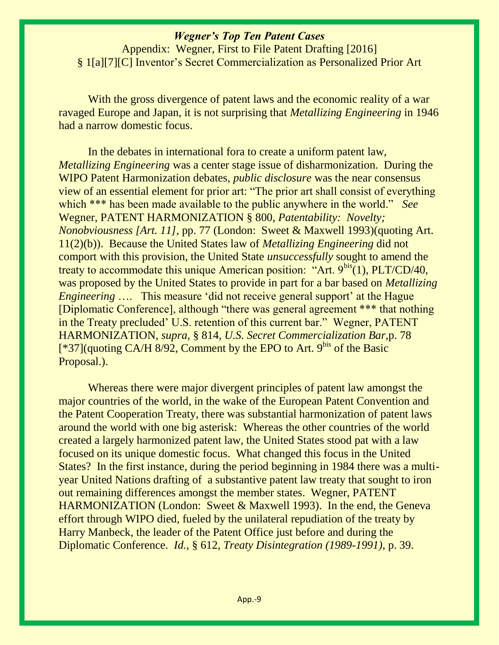Appendix: Wegner, First to File Patent Drafting [2016] § 1[a][7][C] Inventor's Secret Commercialization as Personalized Prior Art

With the gross divergence of patent laws and the economic reality of a war ravaged Europe and Japan, it is not surprising that *Metallizing Engineering* in 1946 had a narrow domestic focus.

In the debates in international fora to create a uniform patent law, *Metallizing Engineering* was a center stage issue of disharmonization. During the WIPO Patent Harmonization debates, *public disclosure* was the near consensus view of an essential element for prior art: "The prior art shall consist of everything which \*\*\* has been made available to the public anywhere in the world." *See*  Wegner, PATENT HARMONIZATION § 800, *Patentability: Novelty; Nonobviousness [Art. 11],* pp. 77 (London: Sweet & Maxwell 1993)(quoting Art. 11(2)(b)). Because the United States law of *Metallizing Engineering* did not comport with this provision, the United State *unsuccessfully* sought to amend the treaty to accommodate this unique American position: "Art.  $9<sup>bis</sup>(1)$ , PLT/CD/40, was proposed by the United States to provide in part for a bar based on *Metallizing Engineering* .... This measure 'did not receive general support' at the Hague [Diplomatic Conference], although "there was general agreement \*\*\* that nothing in the Treaty precluded' U.S. retention of this current bar." Wegner, PATENT HARMONIZATION, *supra,* § 814, *U.S. Secret Commercialization Bar,*p. 78  $[^*37]$ (quoting CA/H 8/92, Comment by the EPO to Art. 9<sup>bis</sup> of the Basic Proposal.).

Whereas there were major divergent principles of patent law amongst the major countries of the world, in the wake of the European Patent Convention and the Patent Cooperation Treaty, there was substantial harmonization of patent laws around the world with one big asterisk: Whereas the other countries of the world created a largely harmonized patent law, the United States stood pat with a law focused on its unique domestic focus. What changed this focus in the United States? In the first instance, during the period beginning in 1984 there was a multiyear United Nations drafting of a substantive patent law treaty that sought to iron out remaining differences amongst the member states. Wegner, PATENT HARMONIZATION (London: Sweet & Maxwell 1993). In the end, the Geneva effort through WIPO died, fueled by the unilateral repudiation of the treaty by Harry Manbeck, the leader of the Patent Office just before and during the Diplomatic Conference. *Id.,* § 612, *Treaty Disintegration (1989-1991),* p. 39.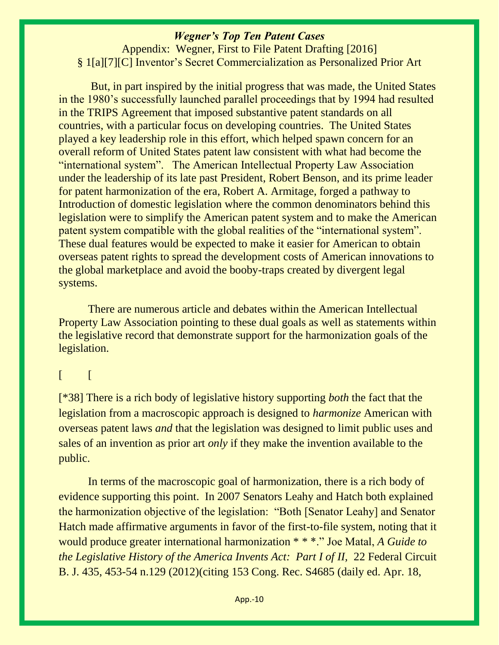Appendix: Wegner, First to File Patent Drafting [2016] § 1[a][7][C] Inventor's Secret Commercialization as Personalized Prior Art

But, in part inspired by the initial progress that was made, the United States in the 1980's successfully launched parallel proceedings that by 1994 had resulted in the TRIPS Agreement that imposed substantive patent standards on all countries, with a particular focus on developing countries. The United States played a key leadership role in this effort, which helped spawn concern for an overall reform of United States patent law consistent with what had become the "international system". The American Intellectual Property Law Association under the leadership of its late past President, Robert Benson, and its prime leader for patent harmonization of the era, Robert A. Armitage, forged a pathway to Introduction of domestic legislation where the common denominators behind this legislation were to simplify the American patent system and to make the American patent system compatible with the global realities of the "international system". These dual features would be expected to make it easier for American to obtain overseas patent rights to spread the development costs of American innovations to the global marketplace and avoid the booby-traps created by divergent legal systems.

There are numerous article and debates within the American Intellectual Property Law Association pointing to these dual goals as well as statements within the legislative record that demonstrate support for the harmonization goals of the legislation.

#### $[$   $[$

[\*38] There is a rich body of legislative history supporting *both* the fact that the legislation from a macroscopic approach is designed to *harmonize* American with overseas patent laws *and* that the legislation was designed to limit public uses and sales of an invention as prior art *only* if they make the invention available to the public.

In terms of the macroscopic goal of harmonization, there is a rich body of evidence supporting this point. In 2007 Senators Leahy and Hatch both explained the harmonization objective of the legislation: "Both [Senator Leahy] and Senator Hatch made affirmative arguments in favor of the first-to-file system, noting that it would produce greater international harmonization \* \* \*." Joe Matal, *A Guide to the Legislative History of the America Invents Act: Part I of II, 22 Federal Circuit* B. J. 435, 453-54 n.129 (2012)(citing 153 Cong. Rec. S4685 (daily ed. Apr. 18,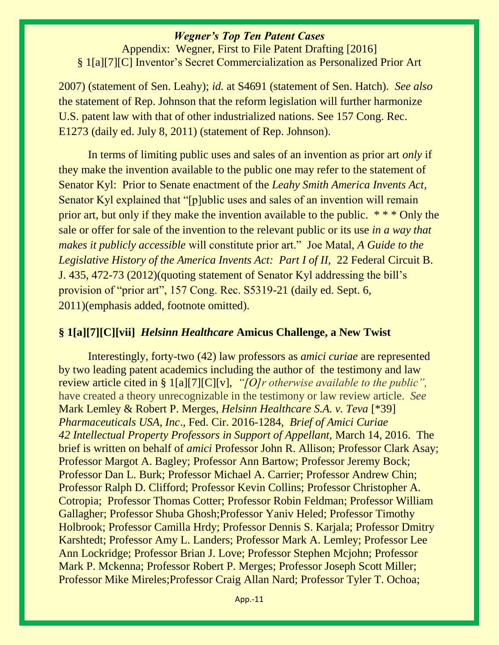Appendix: Wegner, First to File Patent Drafting [2016] § 1[a][7][C] Inventor's Secret Commercialization as Personalized Prior Art

2007) (statement of Sen. Leahy); *id.* at S4691 (statement of Sen. Hatch). *See also*  the statement of Rep. Johnson that the reform legislation will further harmonize U.S. patent law with that of other industrialized nations. See 157 Cong. Rec. E1273 (daily ed. July 8, 2011) (statement of Rep. Johnson).

In terms of limiting public uses and sales of an invention as prior art *only* if they make the invention available to the public one may refer to the statement of Senator Kyl: Prior to Senate enactment of the *Leahy Smith America Invents Act*, Senator Kyl explained that "[p]ublic uses and sales of an invention will remain prior art, but only if they make the invention available to the public. \* \* \* Only the sale or offer for sale of the invention to the relevant public or its use *in a way that makes it publicly accessible* will constitute prior art." Joe Matal, *A Guide to the Legislative History of the America Invents Act: Part I of II, 22 Federal Circuit B.* J. 435, 472-73 (2012)(quoting statement of Senator Kyl addressing the bill's provision of "prior art", 157 Cong. Rec. S5319-21 (daily ed. Sept. 6, 2011)(emphasis added, footnote omitted).

#### **§ 1[a][7][C][vii]** *Helsinn Healthcare* **Amicus Challenge, a New Twist**

Interestingly, forty-two (42) law professors as *amici curiae* are represented by two leading patent academics including the author of the testimony and law review article cited in § 1[a][7][C][v], *"[O]r otherwise available to the public",*  have created a theory unrecognizable in the testimony or law review article. *See*  Mark Lemley & Robert P. Merges*, Helsinn Healthcare S.A. v. Teva* [\*39] *Pharmaceuticals USA, Inc*., Fed. Cir. 2016-1284, *Brief of Amici Curiae 42 Intellectual Property Professors in Support of Appellant,* March 14, 2016. The brief is written on behalf of *amici* Professor John R. Allison; Professor Clark Asay; Professor Margot A. Bagley; Professor Ann Bartow; Professor Jeremy Bock; Professor Dan L. Burk; Professor Michael A. Carrier; Professor Andrew Chin; Professor Ralph D. Clifford; Professor Kevin Collins; Professor Christopher A. Cotropia; Professor Thomas Cotter; Professor Robin Feldman; Professor William Gallagher; Professor Shuba Ghosh;Professor Yaniv Heled; Professor Timothy Holbrook; Professor Camilla Hrdy; Professor Dennis S. Karjala; Professor Dmitry Karshtedt; Professor Amy L. Landers; Professor Mark A. Lemley; Professor Lee Ann Lockridge; Professor Brian J. Love; Professor Stephen Mcjohn; Professor Mark P. Mckenna; Professor Robert P. Merges; Professor Joseph Scott Miller; Professor Mike Mireles;Professor Craig Allan Nard; Professor Tyler T. Ochoa;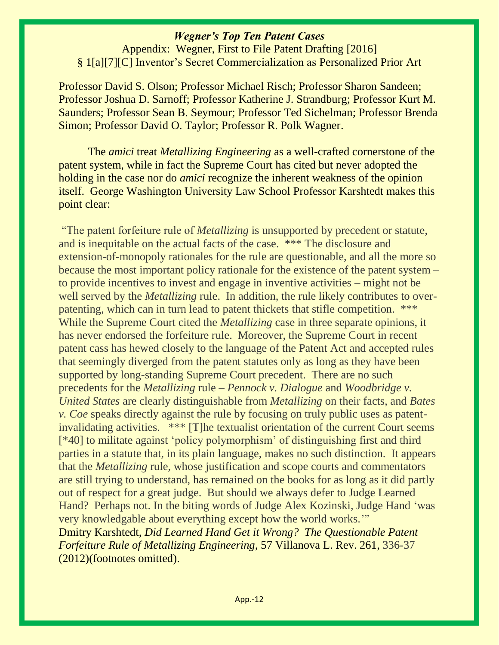Appendix: Wegner, First to File Patent Drafting [2016] § 1[a][7][C] Inventor's Secret Commercialization as Personalized Prior Art

Professor David S. Olson; Professor Michael Risch; Professor Sharon Sandeen; Professor Joshua D. Sarnoff; Professor Katherine J. Strandburg; Professor Kurt M. Saunders; Professor Sean B. Seymour; Professor Ted Sichelman; Professor Brenda Simon; Professor David O. Taylor; Professor R. Polk Wagner.

The *amici* treat *Metallizing Engineering* as a well-crafted cornerstone of the patent system, while in fact the Supreme Court has cited but never adopted the holding in the case nor do *amici* recognize the inherent weakness of the opinion itself. George Washington University Law School Professor Karshtedt makes this point clear:

"The patent forfeiture rule of *Metallizing* is unsupported by precedent or statute, and is inequitable on the actual facts of the case. \*\*\* The disclosure and extension-of-monopoly rationales for the rule are questionable, and all the more so because the most important policy rationale for the existence of the patent system – to provide incentives to invest and engage in inventive activities – might not be well served by the *Metallizing* rule. In addition, the rule likely contributes to overpatenting, which can in turn lead to patent thickets that stifle competition. \*\*\* While the Supreme Court cited the *Metallizing* case in three separate opinions, it has never endorsed the forfeiture rule. Moreover, the Supreme Court in recent patent cass has hewed closely to the language of the Patent Act and accepted rules that seemingly diverged from the patent statutes only as long as they have been supported by long-standing Supreme Court precedent. There are no such precedents for the *Metallizing* rule – *Pennock v. Dialogue* and *Woodbridge v. United States* are clearly distinguishable from *Metallizing* on their facts, and *Bates v. Coe* speaks directly against the rule by focusing on truly public uses as patentinvalidating activities. \*\*\* [T]he textualist orientation of the current Court seems [\*40] to militate against 'policy polymorphism' of distinguishing first and third parties in a statute that, in its plain language, makes no such distinction. It appears that the *Metallizing* rule, whose justification and scope courts and commentators are still trying to understand, has remained on the books for as long as it did partly out of respect for a great judge. But should we always defer to Judge Learned Hand? Perhaps not. In the biting words of Judge Alex Kozinski, Judge Hand 'was very knowledgable about everything except how the world works.'" Dmitry Karshtedt, *Did Learned Hand Get it Wrong? The Questionable Patent Forfeiture Rule of Metallizing Engineering,* 57 Villanova L. Rev. 261, 336-37 (2012)(footnotes omitted).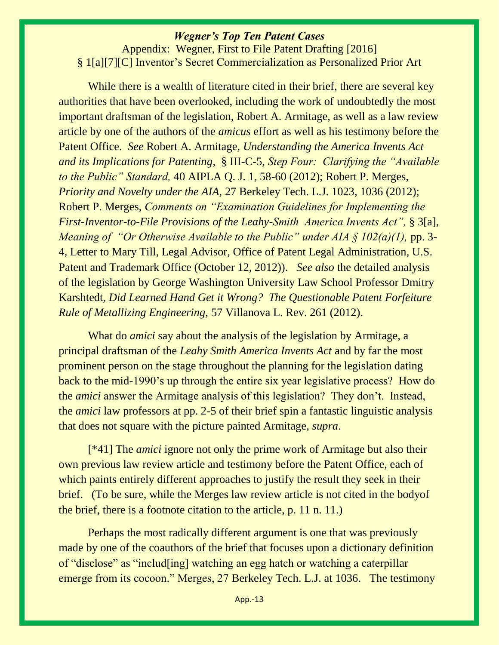Appendix: Wegner, First to File Patent Drafting [2016] § 1[a][7][C] Inventor's Secret Commercialization as Personalized Prior Art

While there is a wealth of literature cited in their brief, there are several key authorities that have been overlooked, including the work of undoubtedly the most important draftsman of the legislation, Robert A. Armitage, as well as a law review article by one of the authors of the *amicus* effort as well as his testimony before the Patent Office. *See* Robert A. Armitage, *Understanding the America Invents Act and its Implications for Patenting*, § III-C-5, *Step Four: Clarifying the "Available to the Public" Standard,* 40 AIPLA Q. J. 1, 58-60 (2012); Robert P. Merges, *Priority and Novelty under the AIA,* 27 Berkeley Tech. L.J. 1023, 1036 (2012); Robert P. Merges, *Comments on "Examination Guidelines for Implementing the First-Inventor-to-File Provisions of the Leahy-Smith America Invents Act",* § 3[a], *Meaning of "Or Otherwise Available to the Public" under AIA § 102(a)(1), pp.* 3-4, Letter to Mary Till, Legal Advisor, Office of Patent Legal Administration, U.S. Patent and Trademark Office (October 12, 2012)). *See also* the detailed analysis of the legislation by George Washington University Law School Professor Dmitry Karshtedt, *Did Learned Hand Get it Wrong? The Questionable Patent Forfeiture Rule of Metallizing Engineering,* 57 Villanova L. Rev. 261 (2012).

What do *amici* say about the analysis of the legislation by Armitage, a principal draftsman of the *Leahy Smith America Invents Act* and by far the most prominent person on the stage throughout the planning for the legislation dating back to the mid-1990's up through the entire six year legislative process? How do the *amici* answer the Armitage analysis of this legislation? They don't. Instead, the *amici* law professors at pp. 2-5 of their brief spin a fantastic linguistic analysis that does not square with the picture painted Armitage, *supra*.

[\*41] The *amici* ignore not only the prime work of Armitage but also their own previous law review article and testimony before the Patent Office, each of which paints entirely different approaches to justify the result they seek in their brief. (To be sure, while the Merges law review article is not cited in the bodyof the brief, there is a footnote citation to the article, p. 11 n. 11.)

Perhaps the most radically different argument is one that was previously made by one of the coauthors of the brief that focuses upon a dictionary definition of "disclose" as "includ[ing] watching an egg hatch or watching a caterpillar emerge from its cocoon." Merges, 27 Berkeley Tech. L.J. at 1036. The testimony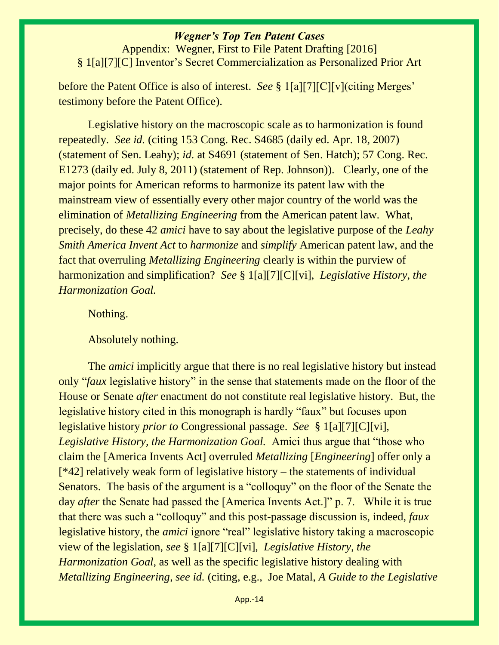Appendix: Wegner, First to File Patent Drafting [2016] § 1[a][7][C] Inventor's Secret Commercialization as Personalized Prior Art

before the Patent Office is also of interest. *See* § 1[a][7][C][v](citing Merges' testimony before the Patent Office).

Legislative history on the macroscopic scale as to harmonization is found repeatedly. *See id.* (citing 153 Cong. Rec. S4685 (daily ed. Apr. 18, 2007) (statement of Sen. Leahy); *id.* at S4691 (statement of Sen. Hatch); 57 Cong. Rec. E1273 (daily ed. July 8, 2011) (statement of Rep. Johnson)). Clearly, one of the major points for American reforms to harmonize its patent law with the mainstream view of essentially every other major country of the world was the elimination of *Metallizing Engineering* from the American patent law. What, precisely, do these 42 *amici* have to say about the legislative purpose of the *Leahy Smith America Invent Act* to *harmonize* and *simplify* American patent law, and the fact that overruling *Metallizing Engineering* clearly is within the purview of harmonization and simplification? *See* § 1[a][7][C][vi], *Legislative History, the Harmonization Goal.*

Nothing.

Absolutely nothing.

The *amici* implicitly argue that there is no real legislative history but instead only "*faux* legislative history" in the sense that statements made on the floor of the House or Senate *after* enactment do not constitute real legislative history. But, the legislative history cited in this monograph is hardly "faux" but focuses upon legislative history *prior to* Congressional passage. *See* § 1[a][7][C][vi], *Legislative History, the Harmonization Goal.* Amici thus argue that "those who claim the [America Invents Act] overruled *Metallizing* [*Engineering*] offer only a [\*42] relatively weak form of legislative history – the statements of individual Senators. The basis of the argument is a "colloquy" on the floor of the Senate the day *after* the Senate had passed the [America Invents Act.]" p. 7. While it is true that there was such a "colloquy" and this post-passage discussion is, indeed, *faux*  legislative history, the *amici* ignore "real" legislative history taking a macroscopic view of the legislation, *see* § 1[a][7][C][vi], *Legislative History, the Harmonization Goal,* as well as the specific legislative history dealing with *Metallizing Engineering, see id.* (citing, e.g., Joe Matal, *A Guide to the Legislative*